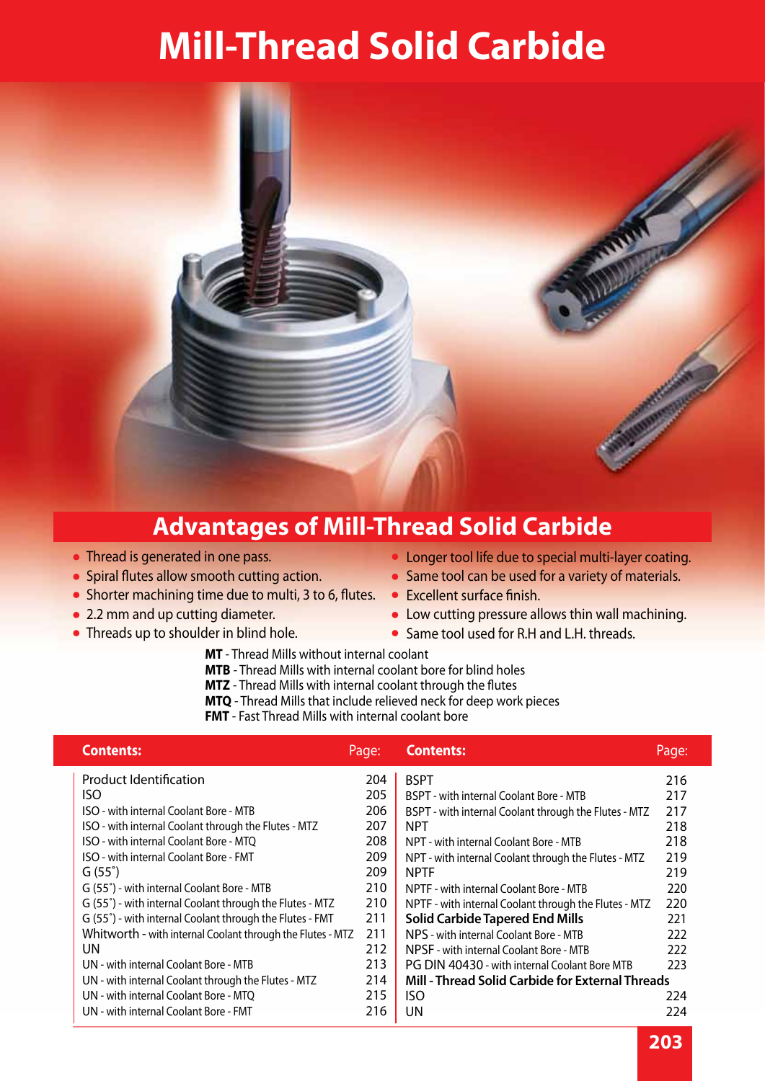# **Mill-Thread Solid Carbide**



## **Advantages of Mill-Thread Solid Carbide**

- Thread is generated in one pass.
- Spiral flutes allow smooth cutting action.
- Shorter machining time due to multi, 3 to 6, flutes.
- 2.2 mm and up cutting diameter.
- Threads up to shoulder in blind hole.
- Longer tool life due to special multi-layer coating.
- Same tool can be used for a variety of materials.
- **•** Excellent surface finish.
- Low cutting pressure allows thin wall machining.
- Same tool used for R.H and L.H. threads.
- **MT** Thread Mills without internal coolant
- **MTB** Thread Mills with internal coolant bore for blind holes
- **MTZ** Thread Mills with internal coolant through the flutes
- **MTQ** Thread Mills that include relieved neck for deep work pieces
- **FMT** Fast Thread Mills with internal coolant bore

| Page: | <b>Contents:</b>                                                  | Page:                                                                                                     |
|-------|-------------------------------------------------------------------|-----------------------------------------------------------------------------------------------------------|
| 204   | <b>BSPT</b>                                                       | 216                                                                                                       |
| 205   | BSPT - with internal Coolant Bore - MTB                           | 217                                                                                                       |
| 206   | BSPT - with internal Coolant through the Flutes - MTZ             | 217                                                                                                       |
| 207   | <b>NPT</b>                                                        | 218                                                                                                       |
| 208   | NPT - with internal Coolant Bore - MTB                            | 218                                                                                                       |
| 209   | NPT - with internal Coolant through the Flutes - MTZ              | 219                                                                                                       |
| 209   | <b>NPTF</b>                                                       | 219                                                                                                       |
| 210   | NPTF - with internal Coolant Bore - MTB                           | 220                                                                                                       |
| 210   |                                                                   | 220                                                                                                       |
|       | <b>Solid Carbide Tapered End Mills</b>                            | 221                                                                                                       |
| 211   | NPS - with internal Coolant Bore - MTB                            | 222                                                                                                       |
| 212   | NPSF - with internal Coolant Bore - MTB                           | 222                                                                                                       |
| 213   | PG DIN 40430 - with internal Coolant Bore MTB                     | 223                                                                                                       |
| 214   |                                                                   |                                                                                                           |
| 215   | ISO                                                               | 224                                                                                                       |
| 216   | UN                                                                | 224                                                                                                       |
|       | 211<br>Whitworth - with internal Coolant through the Flutes - MTZ | NPTF - with internal Coolant through the Flutes - MTZ<br>Mill - Thread Solid Carbide for External Threads |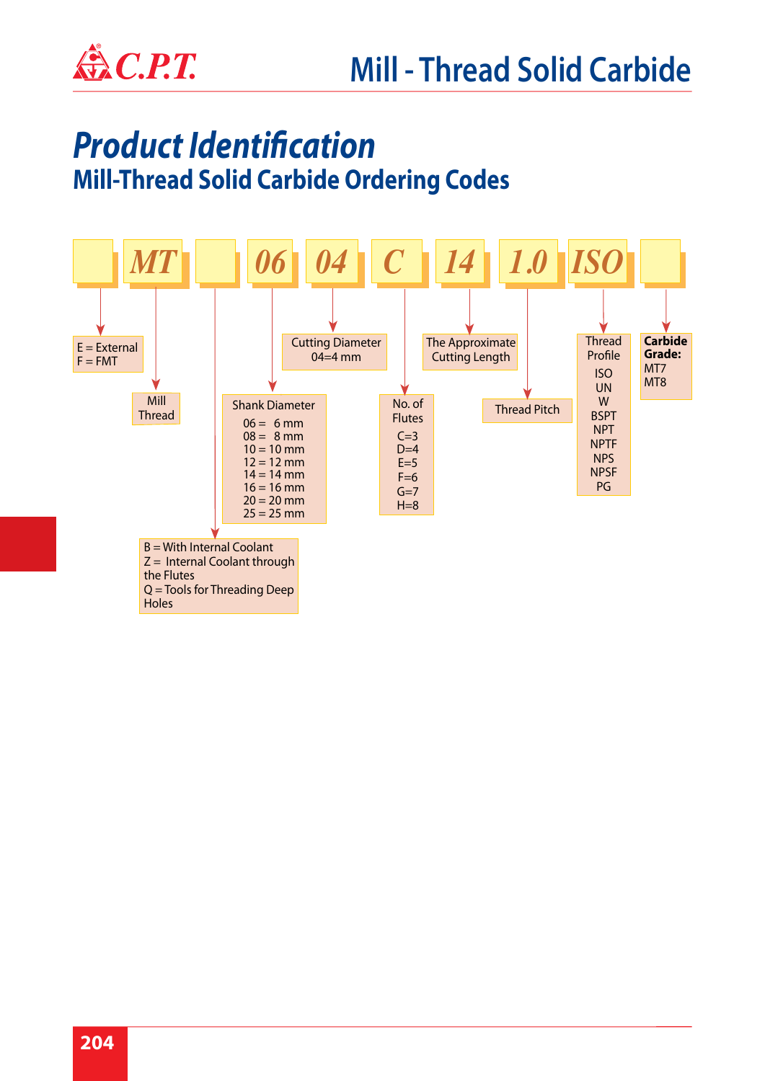

## *Product Identification* **Mill-Thread Solid Carbide Ordering Codes**

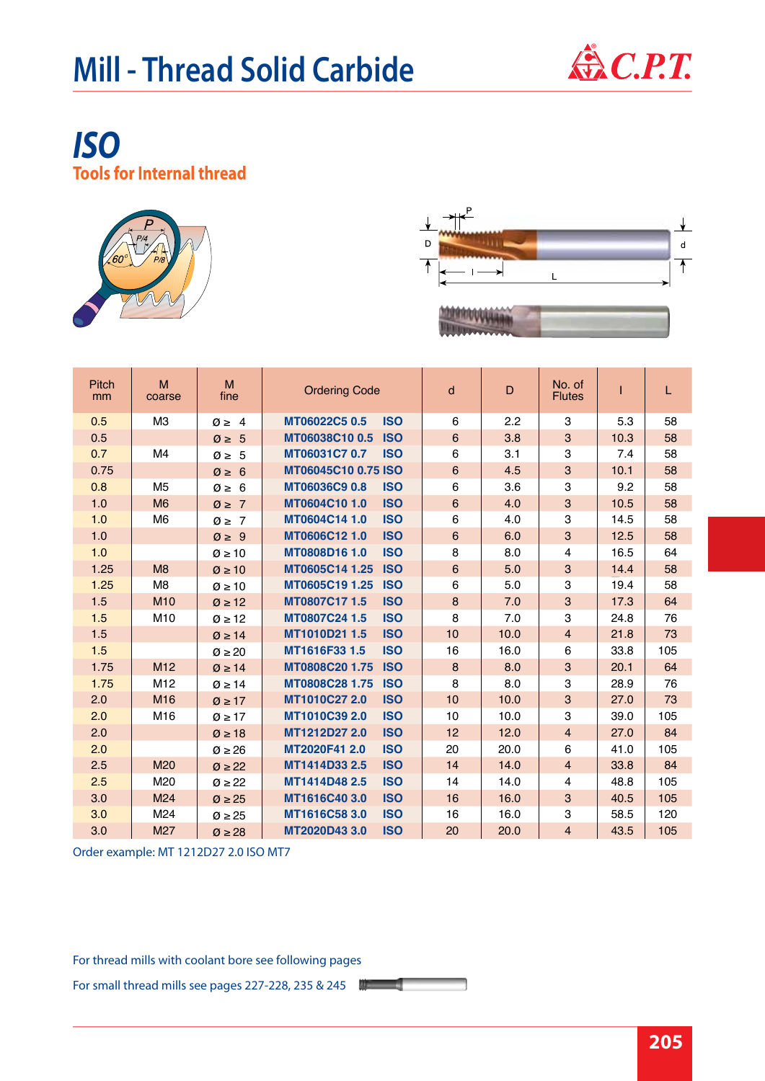

### *ISO* **Tools for Internal thread**





| <b>Pitch</b><br>mm | M<br>coarse     | M<br>fine             | <b>Ordering Code</b> |            | d       | D    | No. of<br><b>Flutes</b>   |      | L   |
|--------------------|-----------------|-----------------------|----------------------|------------|---------|------|---------------------------|------|-----|
| 0.5                | M3              | $\emptyset \geq 4$    | MT06022C5 0.5        | <b>ISO</b> | 6       | 2.2  | 3                         | 5.3  | 58  |
| 0.5                |                 | $\varnothing \geq 5$  | MT06038C10 0.5       | <b>ISO</b> | $\,6$   | 3.8  | $\sqrt{3}$                | 10.3 | 58  |
| 0.7                | M4              | $\varnothing \geq 5$  | MT06031C7 0.7        | <b>ISO</b> | 6       | 3.1  | 3                         | 7.4  | 58  |
| 0.75               |                 | $\emptyset \geq 6$    | MT06045C10 0.75 ISO  |            | $\,6\,$ | 4.5  | $\ensuremath{\mathsf{3}}$ | 10.1 | 58  |
| 0.8                | M <sub>5</sub>  | $\emptyset \geq 6$    | MT06036C9 0.8        | <b>ISO</b> | 6       | 3.6  | 3                         | 9.2  | 58  |
| 1.0                | M <sub>6</sub>  | $\emptyset \geq 7$    | MT0604C10 1.0        | <b>ISO</b> | $\,6$   | 4.0  | $\ensuremath{\mathsf{3}}$ | 10.5 | 58  |
| 1.0                | M6              | $\emptyset \geq 7$    | MT0604C14 1.0        | <b>ISO</b> | 6       | 4.0  | 3                         | 14.5 | 58  |
| 1.0                |                 | $\varnothing \geq 9$  | MT0606C12 1.0        | <b>ISO</b> | $\,6$   | 6.0  | 3                         | 12.5 | 58  |
| 1.0                |                 | $\varnothing \ge 10$  | MT0808D16 1.0        | <b>ISO</b> | 8       | 8.0  | $\overline{4}$            | 16.5 | 64  |
| 1.25               | M <sub>8</sub>  | $\varnothing \ge 10$  | MT0605C14 1.25       | <b>ISO</b> | $\,6\,$ | 5.0  | 3                         | 14.4 | 58  |
| 1.25               | M <sub>8</sub>  | $\varnothing \geq 10$ | MT0605C19 1.25       | <b>ISO</b> | 6       | 5.0  | 3                         | 19.4 | 58  |
| 1.5                | M <sub>10</sub> | $\varnothing \geq 12$ | MT0807C17 1.5        | <b>ISO</b> | 8       | 7.0  | $\sqrt{3}$                | 17.3 | 64  |
| 1.5                | M10             | $\varnothing \geq 12$ | MT0807C24 1.5        | <b>ISO</b> | 8       | 7.0  | 3                         | 24.8 | 76  |
| 1.5                |                 | $\varnothing \geq 14$ | MT1010D21 1.5        | <b>ISO</b> | 10      | 10.0 | $\overline{4}$            | 21.8 | 73  |
| 1.5                |                 | $\varnothing \geq 20$ | MT1616F33 1.5        | <b>ISO</b> | 16      | 16.0 | 6                         | 33.8 | 105 |
| 1.75               | M <sub>12</sub> | $\varnothing \geq 14$ | MT0808C20 1.75       | <b>ISO</b> | 8       | 8.0  | $\ensuremath{\mathsf{3}}$ | 20.1 | 64  |
| 1.75               | M12             | $\varnothing \geq 14$ | MT0808C28 1.75       | <b>ISO</b> | 8       | 8.0  | 3                         | 28.9 | 76  |
| 2.0                | M <sub>16</sub> | $\varnothing \geq 17$ | MT1010C27 2.0        | <b>ISO</b> | 10      | 10.0 | 3                         | 27.0 | 73  |
| 2.0                | M16             | $\varnothing \geq 17$ | MT1010C39 2.0        | <b>ISO</b> | 10      | 10.0 | 3                         | 39.0 | 105 |
| 2.0                |                 | $\varnothing \geq 18$ | MT1212D27 2.0        | <b>ISO</b> | 12      | 12.0 | $\overline{4}$            | 27.0 | 84  |
| 2.0                |                 | $\varnothing \geq 26$ | MT2020F41 2.0        | <b>ISO</b> | 20      | 20.0 | 6                         | 41.0 | 105 |
| 2.5                | M20             | $\varnothing \geq 22$ | MT1414D33 2.5        | <b>ISO</b> | 14      | 14.0 | $\overline{4}$            | 33.8 | 84  |
| 2.5                | M20             | $\varnothing \geq 22$ | MT1414D48 2.5        | <b>ISO</b> | 14      | 14.0 | 4                         | 48.8 | 105 |
| 3.0                | M24             | $\varnothing \geq 25$ | MT1616C40 3.0        | <b>ISO</b> | 16      | 16.0 | 3                         | 40.5 | 105 |
| 3.0                | M24             | $\varnothing \geq 25$ | MT1616C58 3.0        | <b>ISO</b> | 16      | 16.0 | 3                         | 58.5 | 120 |
| 3.0                | M27             | $\varnothing \geq 28$ | MT2020D43 3.0        | <b>ISO</b> | 20      | 20.0 | $\overline{\mathbf{4}}$   | 43.5 | 105 |

Order example: MT 1212D27 2.0 ISO MT7

For thread mills with coolant bore see following pages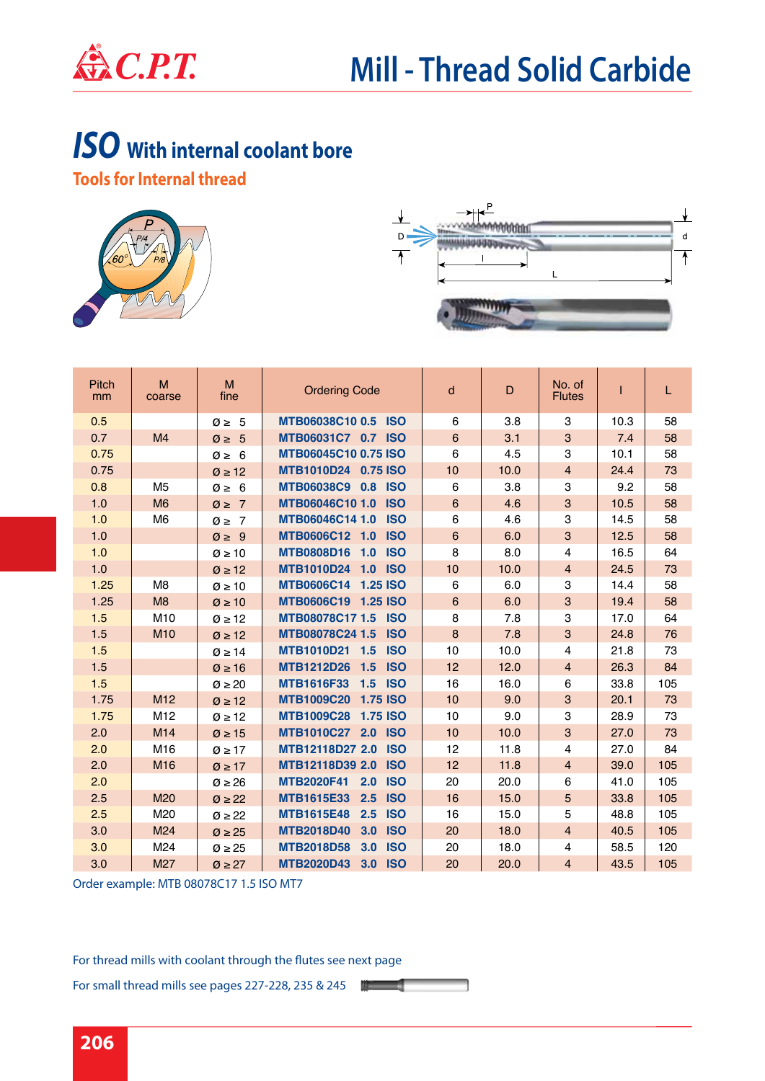

## *ISO* **With internal coolant bore**

**Tools for Internal thread**





| <b>Pitch</b><br>mm | M<br>coarse     | M<br>fine             | <b>Ordering Code</b>                   | d              | D    | No. of<br><b>Flutes</b>   |      | L   |
|--------------------|-----------------|-----------------------|----------------------------------------|----------------|------|---------------------------|------|-----|
| 0.5                |                 | $\varnothing \geq 5$  | MTB06038C10 0.5 ISO                    | 6              | 3.8  | 3                         | 10.3 | 58  |
| 0.7                | M4              | $\varnothing \geq 5$  | MTB06031C7 0.7 ISO                     | $6\phantom{1}$ | 3.1  | 3                         | 7.4  | 58  |
| 0.75               |                 | $\emptyset \geq 6$    | <b>MTB06045C10 0.75 ISO</b>            | 6              | 4.5  | 3                         | 10.1 | 58  |
| 0.75               |                 | $\varnothing \geq 12$ | MTB1010D24 0.75 ISO                    | 10             | 10.0 | $\overline{4}$            | 24.4 | 73  |
| 0.8                | M <sub>5</sub>  | $\emptyset \geq 6$    | MTB06038C9 0.8 ISO                     | 6              | 3.8  | 3                         | 9.2  | 58  |
| 1.0                | M <sub>6</sub>  | $\emptyset \geq 7$    | MTB06046C10 1.0<br><b>ISO</b>          | $\,6$          | 4.6  | 3                         | 10.5 | 58  |
| 1.0                | M <sub>6</sub>  | $\emptyset \geq 7$    | MTB06046C14 1.0<br><b>ISO</b>          | 6              | 4.6  | 3                         | 14.5 | 58  |
| 1.0                |                 | $\varnothing \geq 9$  | MTB0606C12 1.0<br><b>ISO</b>           | $\,6\,$        | 6.0  | 3                         | 12.5 | 58  |
| 1.0                |                 | $\varnothing \geq 10$ | MTB0808D16 1.0<br><b>ISO</b>           | 8              | 8.0  | 4                         | 16.5 | 64  |
| 1.0                |                 | $\varnothing \geq 12$ | MTB1010D24 1.0 ISO                     | 10             | 10.0 | $\overline{4}$            | 24.5 | 73  |
| 1.25               | M <sub>8</sub>  | $\varnothing \geq 10$ | MTB0606C14 1.25 ISO                    | 6              | 6.0  | 3                         | 14.4 | 58  |
| 1.25               | M <sub>8</sub>  | $\varnothing \geq 10$ | MTB0606C19 1.25 ISO                    | $\,6$          | 6.0  | 3                         | 19.4 | 58  |
| 1.5                | M10             | $\varnothing \geq 12$ | MTB08078C17 1.5 ISO                    | 8              | 7.8  | $\ensuremath{\mathsf{3}}$ | 17.0 | 64  |
| 1.5                | M10             | $\varnothing \geq 12$ | MTB08078C24 1.5<br><b>ISO</b>          | 8              | 7.8  | 3                         | 24.8 | 76  |
| 1.5                |                 | $\varnothing \geq 14$ | MTB1010D21 1.5<br><b>ISO</b>           | 10             | 10.0 | $\overline{4}$            | 21.8 | 73  |
| 1.5                |                 | $\varnothing \ge 16$  | <b>MTB1212D26</b><br><b>ISO</b><br>1.5 | 12             | 12.0 | $\overline{4}$            | 26.3 | 84  |
| 1.5                |                 | $\varnothing \geq 20$ | <b>MTB1616F33</b><br>1.5<br><b>ISO</b> | 16             | 16.0 | 6                         | 33.8 | 105 |
| 1.75               | M12             | $\varnothing \geq 12$ | MTB1009C20 1.75 ISO                    | 10             | 9.0  | 3                         | 20.1 | 73  |
| 1.75               | M <sub>12</sub> | $\varnothing \geq 12$ | <b>MTB1009C28</b><br><b>1.75 ISO</b>   | 10             | 9.0  | 3                         | 28.9 | 73  |
| 2.0                | M14             | $\varnothing \geq 15$ | MTB1010C27 2.0 ISO                     | 10             | 10.0 | $\mathbf{3}$              | 27.0 | 73  |
| 2.0                | M16             | $\varnothing \geq 17$ | MTB12118D27 2.0<br><b>ISO</b>          | 12             | 11.8 | $\overline{4}$            | 27.0 | 84  |
| 2.0                | M16             | $\varnothing \geq 17$ | MTB12118D39 2.0<br><b>ISO</b>          | 12             | 11.8 | $\overline{4}$            | 39.0 | 105 |
| 2.0                |                 | $\varnothing \geq 26$ | <b>MTB2020F41</b><br>2.0<br><b>ISO</b> | 20             | 20.0 | 6                         | 41.0 | 105 |
| 2.5                | M20             | $\varnothing \geq 22$ | <b>MTB1615E33</b><br><b>ISO</b><br>2.5 | 16             | 15.0 | 5                         | 33.8 | 105 |
| 2.5                | M20             | $\varnothing \geq 22$ | <b>MTB1615E48</b><br><b>ISO</b><br>2.5 | 16             | 15.0 | 5                         | 48.8 | 105 |
| 3.0                | M24             | $\varnothing \geq 25$ | <b>MTB2018D40</b><br>3.0<br><b>ISO</b> | 20             | 18.0 | $\overline{4}$            | 40.5 | 105 |
| 3.0                | M24             | $\varnothing \geq 25$ | <b>MTB2018D58</b><br>3.0<br><b>ISO</b> | 20             | 18.0 | $\overline{4}$            | 58.5 | 120 |
| 3.0                | M27             | $\varnothing \geq 27$ | <b>MTB2020D43</b><br>3.0<br><b>ISO</b> | 20             | 20.0 | $\overline{4}$            | 43.5 | 105 |

Order example: MTB 08078C17 1.5 ISO MT7

For thread mills with coolant through the flutes see next page

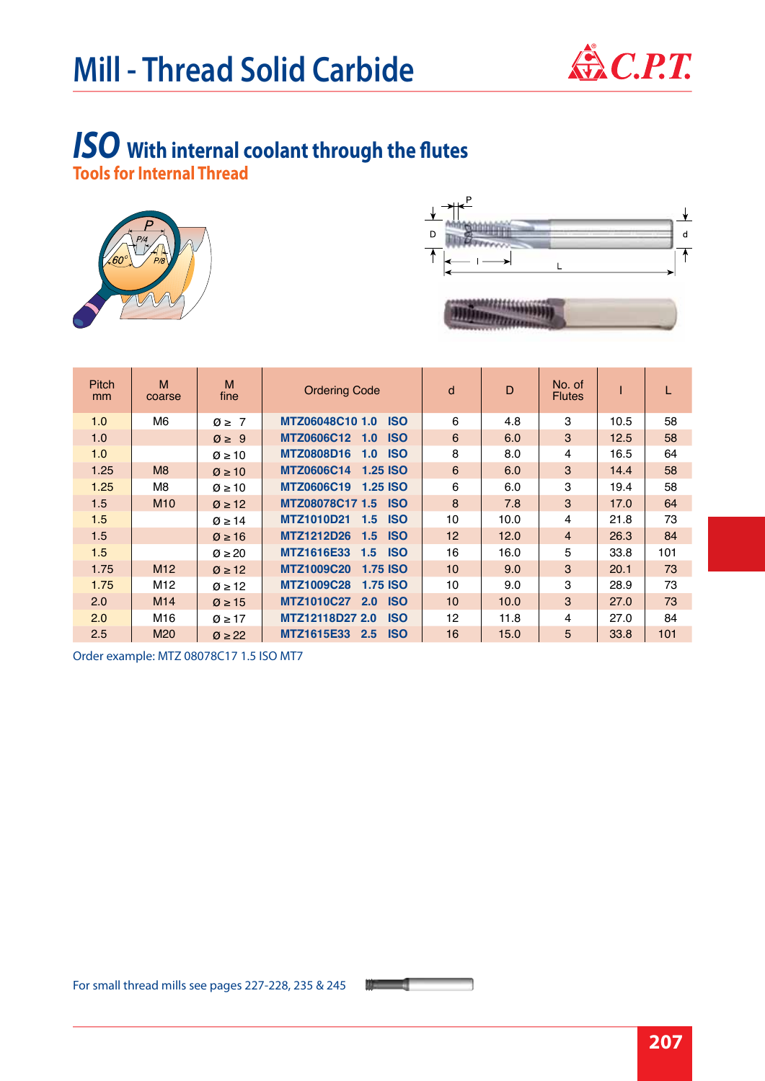

#### *ISO* **With internal coolant through the flutes Tools for Internal Thread**





| <b>Pitch</b><br><sub>mm</sub> | M<br>coarse     | M<br>fine             | <b>Ordering Code</b>                                | d               | D    | No. of<br><b>Flutes</b> |      |     |
|-------------------------------|-----------------|-----------------------|-----------------------------------------------------|-----------------|------|-------------------------|------|-----|
| 1.0                           | M6              | $\emptyset \geq 7$    | MTZ06048C10 1.0<br><b>ISO</b>                       | 6               | 4.8  | 3                       | 10.5 | 58  |
| 1.0                           |                 | $\varnothing \geq 9$  | MTZ0606C12 1.0<br><b>ISO</b>                        | 6               | 6.0  | 3                       | 12.5 | 58  |
| 1.0                           |                 | $\varnothing \geq 10$ | <b>MTZ0808D16</b><br><b>ISO</b><br>1.0              | 8               | 8.0  | 4                       | 16.5 | 64  |
| 1.25                          | M8              | $\varnothing \geq 10$ | <b>MTZ0606C14</b><br><b>1.25 ISO</b>                | 6               | 6.0  | 3                       | 14.4 | 58  |
| 1.25                          | M8              | $\varnothing \geq 10$ | <b>MTZ0606C19</b><br><b>1.25 ISO</b>                | 6               | 6.0  | 3                       | 19.4 | 58  |
| 1.5                           | M <sub>10</sub> | $\varnothing \geq 12$ | MTZ08078C17 1.5 ISO                                 | 8               | 7.8  | 3                       | 17.0 | 64  |
| 1.5                           |                 | $\varnothing \geq 14$ | <b>MTZ1010D21</b><br><b>ISO</b><br>1.5 <sub>1</sub> | 10              | 10.0 | 4                       | 21.8 | 73  |
| 1.5                           |                 | $\varnothing \geq 16$ | <b>MTZ1212D26</b><br>$1.5$ ISO                      | 12 <sup>2</sup> | 12.0 | $\overline{4}$          | 26.3 | 84  |
| 1.5                           |                 | $\varnothing \geq 20$ | <b>MTZ1616E33</b><br>$1.5$ ISO                      | 16              | 16.0 | 5                       | 33.8 | 101 |
| 1.75                          | M12             | $\varnothing \geq 12$ | <b>MTZ1009C20</b><br><b>1.75 ISO</b>                | 10              | 9.0  | 3                       | 20.1 | 73  |
| 1.75                          | M <sub>12</sub> | $\varnothing \geq 12$ | <b>MTZ1009C28</b><br><b>1.75 ISO</b>                | 10              | 9.0  | 3                       | 28.9 | 73  |
| 2.0                           | M14             | $\varnothing \geq 15$ | <b>MTZ1010C27</b><br><b>ISO</b><br>2.0              | 10              | 10.0 | 3                       | 27.0 | 73  |
| 2.0                           | M16             | $\varnothing \geq 17$ | MTZ12118D27 2.0<br><b>ISO</b>                       | 12              | 11.8 | 4                       | 27.0 | 84  |
| 2.5                           | M <sub>20</sub> | $\varnothing \geq 22$ | <b>MTZ1615E33</b><br>2.5<br><b>ISO</b>              | 16              | 15.0 | 5                       | 33.8 | 101 |

Order example: MTZ 08078C17 1.5 ISO MT7

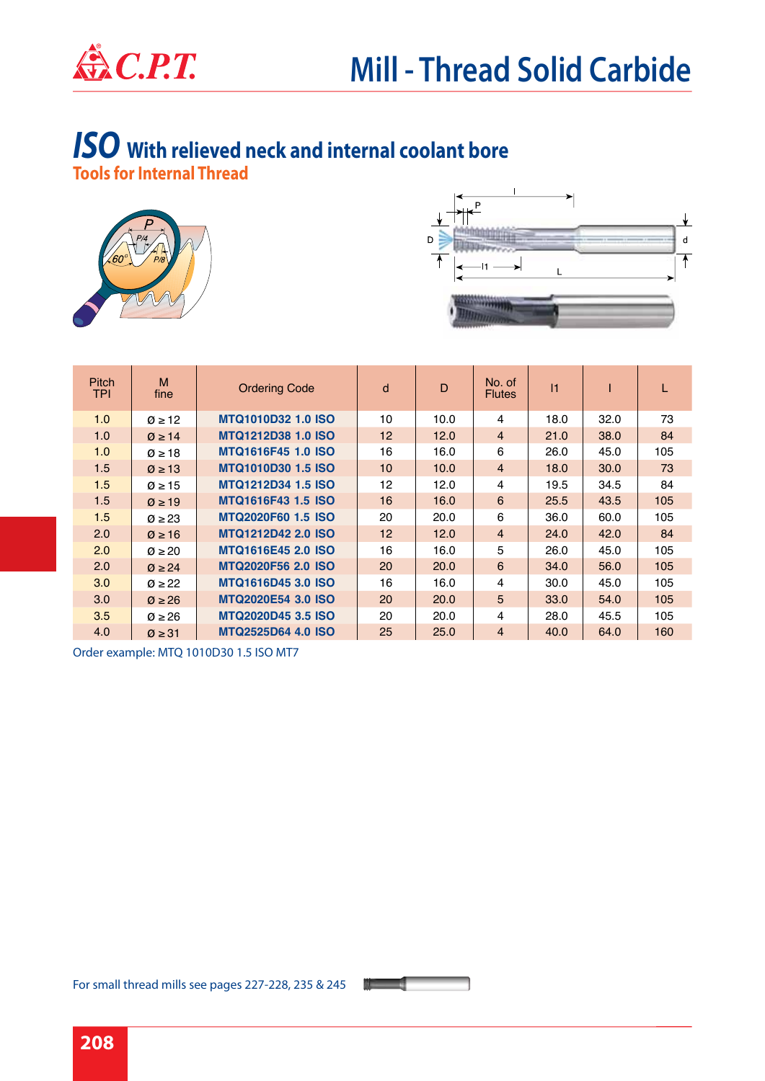

#### *ISO* **With relieved neck and internal coolant bore Tools for Internal Thread**





| <b>Pitch</b><br><b>TPI</b> | M<br>fine             | <b>Ordering Code</b>      | d               | D    | No. of<br><b>Flutes</b> | 1    |      |     |
|----------------------------|-----------------------|---------------------------|-----------------|------|-------------------------|------|------|-----|
| 1.0                        | $\varnothing \geq 12$ | <b>MTQ1010D32 1.0 ISO</b> | 10              | 10.0 | 4                       | 18.0 | 32.0 | 73  |
| 1.0                        | $\varnothing \geq 14$ | <b>MTQ1212D38 1.0 ISO</b> | 12 <sup>2</sup> | 12.0 | $\overline{4}$          | 21.0 | 38.0 | 84  |
| 1.0                        | $\varnothing \geq 18$ | <b>MTQ1616F45 1.0 ISO</b> | 16              | 16.0 | 6                       | 26.0 | 45.0 | 105 |
| 1.5                        | $\varnothing \geq 13$ | <b>MTQ1010D30 1.5 ISO</b> | 10              | 10.0 | $\overline{4}$          | 18.0 | 30.0 | 73  |
| 1.5                        | $\varnothing \geq 15$ | <b>MTQ1212D34 1.5 ISO</b> | 12              | 12.0 | 4                       | 19.5 | 34.5 | 84  |
| 1.5                        | $\varnothing \geq 19$ | <b>MTQ1616F43 1.5 ISO</b> | 16              | 16.0 | 6                       | 25.5 | 43.5 | 105 |
| 1.5                        | $\varnothing \geq 23$ | <b>MTQ2020F60 1.5 ISO</b> | 20              | 20.0 | 6                       | 36.0 | 60.0 | 105 |
| 2.0                        | $\varnothing \geq 16$ | <b>MTQ1212D42 2.0 ISO</b> | 12 <sup>2</sup> | 12.0 | $\overline{4}$          | 24.0 | 42.0 | 84  |
| 2.0                        | $\varnothing \geq 20$ | <b>MTQ1616E45 2.0 ISO</b> | 16              | 16.0 | 5                       | 26.0 | 45.0 | 105 |
| 2.0                        | $\varnothing \geq 24$ | <b>MTQ2020F56 2.0 ISO</b> | 20              | 20.0 | 6                       | 34.0 | 56.0 | 105 |
| 3.0                        | $\varnothing \geq 22$ | <b>MTQ1616D45 3.0 ISO</b> | 16              | 16.0 | 4                       | 30.0 | 45.0 | 105 |
| 3.0                        | $\varnothing \geq 26$ | <b>MTQ2020E54 3.0 ISO</b> | 20              | 20.0 | 5                       | 33.0 | 54.0 | 105 |
| 3.5                        | $\varnothing$ > 26    | <b>MTQ2020D45 3.5 ISO</b> | 20              | 20.0 | 4                       | 28.0 | 45.5 | 105 |
| 4.0                        | $\varnothing \geq 31$ | <b>MTQ2525D64 4.0 ISO</b> | 25              | 25.0 | $\overline{4}$          | 40.0 | 64.0 | 160 |

Order example: MTQ 1010D30 1.5 ISO MT7

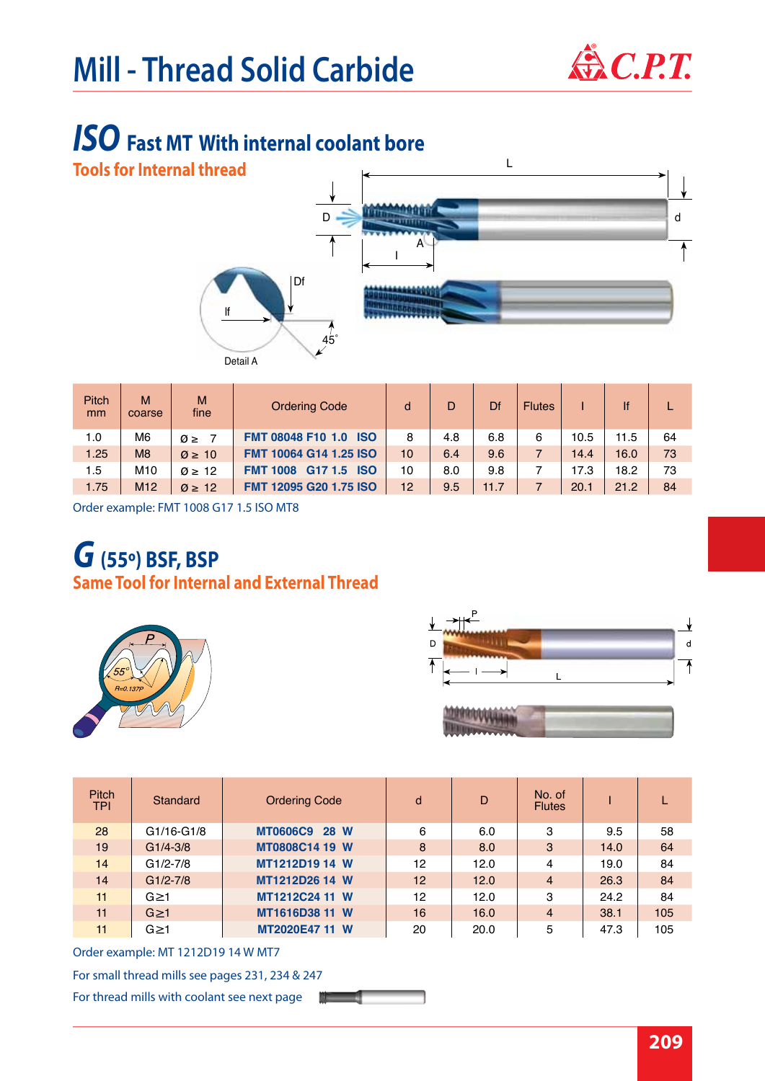

## *ISO* **Fast MT With internal coolant bore**

**Tools for Internal thread**



| Pitch<br>mm | M<br>coarse     | M<br>fine             | <b>Ordering Code</b>                                 | d  | D   | Df   | <b>Flutes</b> |      | lf   |    |
|-------------|-----------------|-----------------------|------------------------------------------------------|----|-----|------|---------------|------|------|----|
| 1.0         | M6              | $\varnothing \geq$    | <b>FMT 08048 F10 1.0</b><br><b>ISO</b>               | 8  | 4.8 | 6.8  | 6             | 10.5 | 11.5 | 64 |
| 1.25        | M <sub>8</sub>  | $\varnothing \geq 10$ | <b>FMT 10064 G14 1.25 ISO</b>                        | 10 | 6.4 | 9.6  |               | 14.4 | 16.0 | 73 |
| 1.5         | M <sub>10</sub> | $\varnothing \geq 12$ | G <sub>17</sub> 1.5<br><b>ISO</b><br><b>FMT 1008</b> | 10 | 8.0 | 9.8  |               | 17.3 | 18.2 | 73 |
| 1.75        | M <sub>12</sub> | $\varnothing \geq 12$ | <b>FMT 12095 G20 1.75 ISO</b>                        | 12 | 9.5 | 11.7 |               | 20.1 | 21.2 | 84 |

Order example: FMT 1008 G17 1.5 ISO MT8

# *G* **(55º) BSF, BSP**

**Same Tool for Internal and External Thread** 





| <b>Pitch</b><br><b>TPI</b> | Standard     | <b>Ordering Code</b> | d  | D    | No. of<br><b>Flutes</b> |      |     |
|----------------------------|--------------|----------------------|----|------|-------------------------|------|-----|
| 28                         | G1/16-G1/8   | <b>MT0606C9 28 W</b> | 6  | 6.0  | 3                       | 9.5  | 58  |
| 19                         | $G1/4 - 3/8$ | MT0808C14 19 W       | 8  | 8.0  | 3                       | 14.0 | 64  |
| 14                         | $G1/2-7/8$   | MT1212D19 14 W       | 12 | 12.0 | 4                       | 19.0 | 84  |
| 14                         | $G1/2-7/8$   | MT1212D26 14 W       | 12 | 12.0 | $\overline{4}$          | 26.3 | 84  |
| 11                         | $G \geq 1$   | MT1212C24 11 W       | 12 | 12.0 | 3                       | 24.2 | 84  |
| 11                         | $G \geq 1$   | MT1616D38 11 W       | 16 | 16.0 | $\overline{4}$          | 38.1 | 105 |
| 11                         | $G \geq 1$   | MT2020E47 11 W       | 20 | 20.0 | 5                       | 47.3 | 105 |

Order example: MT 1212D19 14 W MT7

For small thread mills see pages 231, 234 & 247

For thread mills with coolant see next page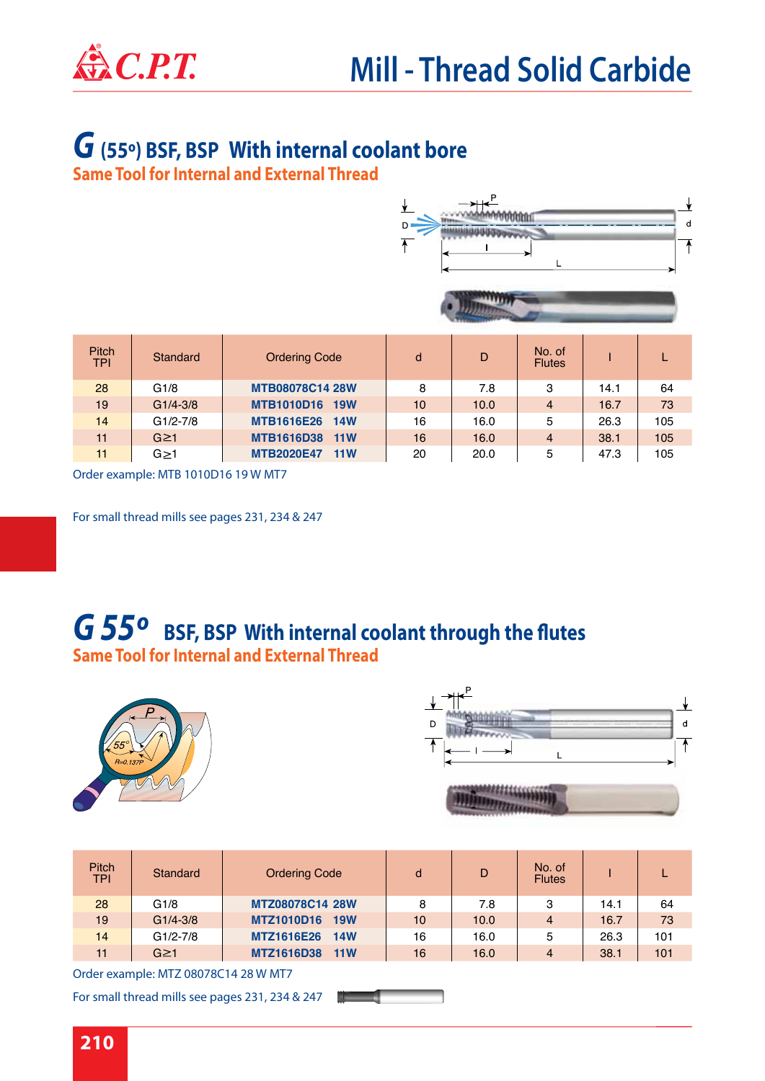

## *G* **(55º) BSF, BSP With internal coolant bore**

**Same Tool for Internal and External Thread** 





| <b>Pitch</b><br><b>TPI</b> | Standard     | <b>Ordering Code</b>            | d  | D    | No. of<br><b>Flutes</b> |      |     |
|----------------------------|--------------|---------------------------------|----|------|-------------------------|------|-----|
| 28                         | G1/8         | <b>MTB08078C14 28W</b>          | 8  | 7.8  | 3                       | 14.1 | 64  |
| 19                         | $G1/4 - 3/8$ | <b>MTB1010D16</b><br><b>19W</b> | 10 | 10.0 | $\overline{4}$          | 16.7 | 73  |
| 14                         | G1/2-7/8     | <b>MTB1616E26</b><br><b>14W</b> | 16 | 16.0 | 5                       | 26.3 | 105 |
| 11                         | $G \geq 1$   | MTB1616D38 11W                  | 16 | 16.0 | $\overline{4}$          | 38.1 | 105 |
| 11                         | $G \geq 1$   | <b>MTB2020E47</b><br>11W        | 20 | 20.0 | 5                       | 47.3 | 105 |

Order example: MTB 1010D16 19 W MT7

For small thread mills see pages 231, 234 & 247

### **Same Tool for Internal and External Thread**  *G 55º* **BSF, BSP With internal coolant through the flutes**





| <b>Pitch</b><br><b>TPI</b> | Standard     | <b>Ordering Code</b>     | d  | D    | No. of<br><b>Flutes</b> |      |     |
|----------------------------|--------------|--------------------------|----|------|-------------------------|------|-----|
| 28                         | G1/8         | MTZ08078C14 28W          | 8  | 7.8  | 3                       | 14.1 | 64  |
| 19                         | $G1/4 - 3/8$ | <b>MTZ1010D16</b><br>19W | 10 | 10.0 | $\overline{4}$          | 16.7 | 73  |
| 14                         | $G1/2-7/8$   | <b>MTZ1616E26</b><br>14W | 16 | 16.0 | 5                       | 26.3 | 101 |
| 11                         | $G \geq 1$   | <b>MTZ1616D38</b><br>11W | 16 | 16.0 | 4                       | 38.1 | 101 |

Order example: MTZ 08078C14 28 W MT7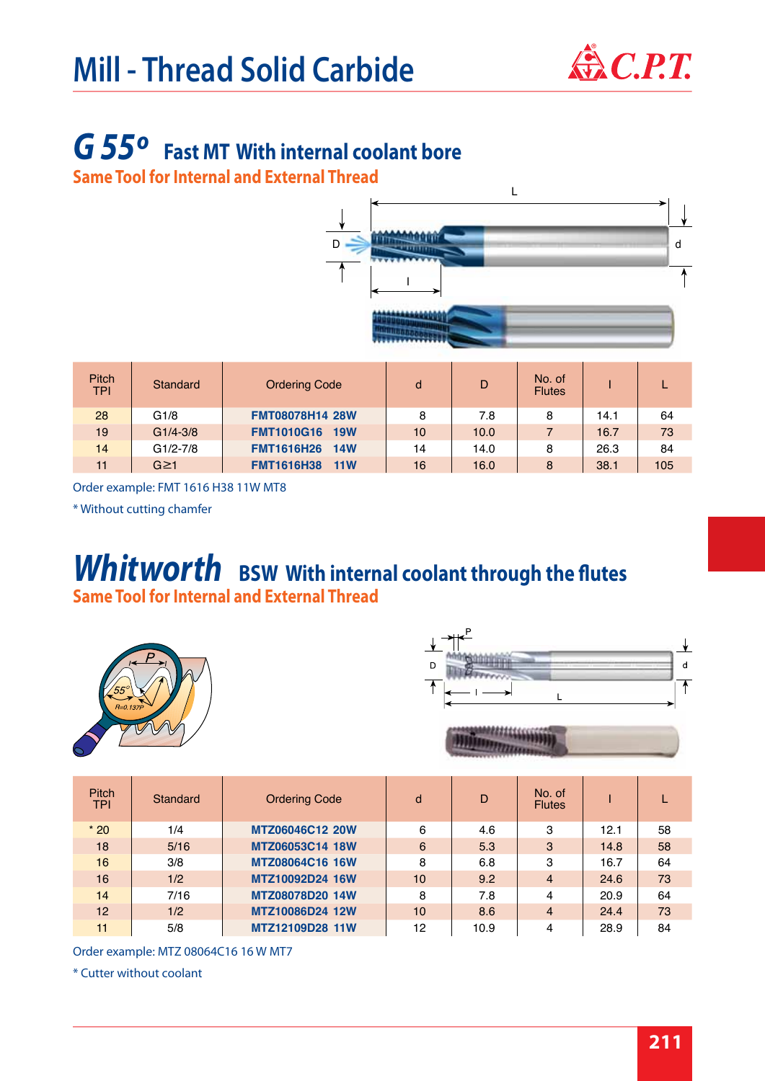

## *G 55º* **Fast MT With internal coolant bore**

**Same Tool for Internal and External Thread** 



| <b>Pitch</b><br><b>TPI</b> | Standard     | <b>Ordering Code</b>     | d  | D    | No. of<br><b>Flutes</b> |      |     |
|----------------------------|--------------|--------------------------|----|------|-------------------------|------|-----|
| 28                         | G1/8         | <b>FMT08078H14 28W</b>   | 8  | 7.8  | 8                       | 14.1 | 64  |
| 19                         | $G1/4 - 3/8$ | <b>FMT1010G16 19W</b>    | 10 | 10.0 |                         | 16.7 | 73  |
| 14                         | $G1/2-7/8$   | <b>FMT1616H26</b><br>14W | 14 | 14.0 | 8                       | 26.3 | 84  |
| 11                         | $G \geq 1$   | <b>FMT1616H38</b><br>11W | 16 | 16.0 | 8                       | 38.1 | 105 |

Order example: FMT 1616 H38 11W MT8

\* Without cutting chamfer

### **Same Tool for Internal and External Thread**  *Whitworth* **BSW With internal coolant through the flutes**





| ,,,,,,,,,,,,,,,,, |  |  |
|-------------------|--|--|
|                   |  |  |
|                   |  |  |
|                   |  |  |

| <b>Pitch</b><br><b>TPI</b> | Standard | <b>Ordering Code</b> | d  | D    | No. of<br><b>Flutes</b> |      |    |
|----------------------------|----------|----------------------|----|------|-------------------------|------|----|
| $*20$                      | 1/4      | MTZ06046C12 20W      | 6  | 4.6  | 3                       | 12.1 | 58 |
| 18                         | 5/16     | MTZ06053C14 18W      | 6  | 5.3  | 3                       | 14.8 | 58 |
| 16                         | 3/8      | MTZ08064C16 16W      | 8  | 6.8  | 3                       | 16.7 | 64 |
| 16                         | 1/2      | MTZ10092D24 16W      | 10 | 9.2  | $\overline{4}$          | 24.6 | 73 |
| 14                         | 7/16     | MTZ08078D20 14W      | 8  | 7.8  | 4                       | 20.9 | 64 |
| 12 <sup>1</sup>            | 1/2      | MTZ10086D24 12W      | 10 | 8.6  | $\overline{4}$          | 24.4 | 73 |
| 11                         | 5/8      | MTZ12109D28 11W      | 12 | 10.9 | 4                       | 28.9 | 84 |

Order example: MTZ 08064C16 16 W MT7

\* Cutter without coolant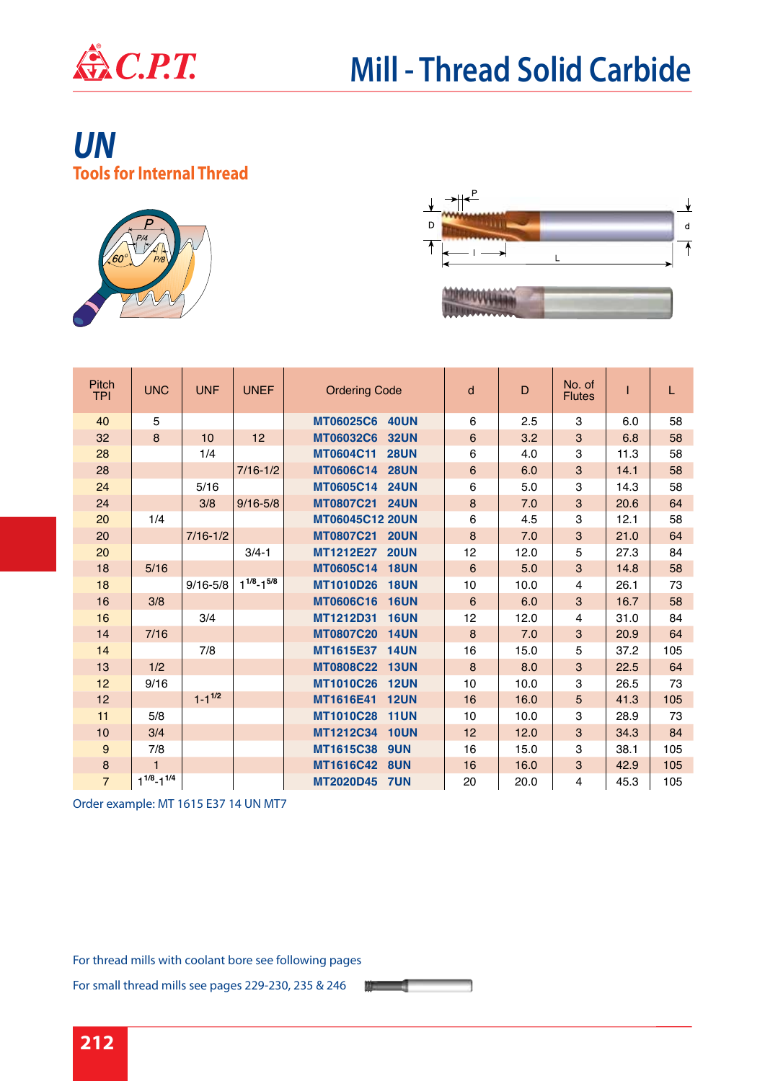

### **Tools for Internal Thread** *UN*





| Pitch<br><b>TPI</b> | <b>UNC</b>          | <b>UNF</b>    | <b>UNEF</b>         | <b>Ordering Code</b>            | d                | D    | No. of<br><b>Flutes</b> |      | L   |
|---------------------|---------------------|---------------|---------------------|---------------------------------|------------------|------|-------------------------|------|-----|
| 40                  | 5                   |               |                     | <b>MT06025C6</b><br><b>40UN</b> | 6                | 2.5  | 3                       | 6.0  | 58  |
| 32                  | 8                   | 10            | 12                  | <b>MT06032C6</b><br><b>32UN</b> | $\,6$            | 3.2  | 3                       | 6.8  | 58  |
| 28                  |                     | 1/4           |                     | <b>MT0604C11</b><br><b>28UN</b> | 6                | 4.0  | 3                       | 11.3 | 58  |
| 28                  |                     |               | $7/16 - 1/2$        | <b>MT0606C14</b><br><b>28UN</b> | $\,6$            | 6.0  | $\mathbf{3}$            | 14.1 | 58  |
| 24                  |                     | 5/16          |                     | <b>MT0605C14</b><br><b>24UN</b> | 6                | 5.0  | 3                       | 14.3 | 58  |
| 24                  |                     | 3/8           | $9/16 - 5/8$        | <b>MT0807C21</b><br><b>24UN</b> | $\bf 8$          | 7.0  | 3                       | 20.6 | 64  |
| 20                  | 1/4                 |               |                     | <b>MT06045C12 20UN</b>          | 6                | 4.5  | 3                       | 12.1 | 58  |
| 20                  |                     | $7/16 - 1/2$  |                     | <b>MT0807C21</b><br><b>20UN</b> | 8                | 7.0  | 3                       | 21.0 | 64  |
| 20                  |                     |               | $3/4 - 1$           | MT1212E27<br><b>20UN</b>        | 12               | 12.0 | 5                       | 27.3 | 84  |
| 18                  | 5/16                |               |                     | <b>MT0605C14</b><br><b>18UN</b> | $6\phantom{1}6$  | 5.0  | 3                       | 14.8 | 58  |
| 18                  |                     | $9/16 - 5/8$  | $1^{1/8} - 1^{5/8}$ | <b>MT1010D26</b><br><b>18UN</b> | 10               | 10.0 | 4                       | 26.1 | 73  |
| 16                  | 3/8                 |               |                     | <b>MT0606C16</b><br><b>16UN</b> | 6                | 6.0  | 3                       | 16.7 | 58  |
| 16                  |                     | 3/4           |                     | MT1212D31<br><b>16UN</b>        | 12               | 12.0 | $\overline{4}$          | 31.0 | 84  |
| 14                  | 7/16                |               |                     | <b>MT0807C20</b><br><b>14UN</b> | 8                | 7.0  | 3                       | 20.9 | 64  |
| 14                  |                     | 7/8           |                     | MT1615E37<br><b>14UN</b>        | 16               | 15.0 | 5                       | 37.2 | 105 |
| 13                  | 1/2                 |               |                     | <b>MT0808C22</b><br><b>13UN</b> | $\boldsymbol{8}$ | 8.0  | 3                       | 22.5 | 64  |
| 12                  | 9/16                |               |                     | <b>MT1010C26</b><br><b>12UN</b> | 10               | 10.0 | 3                       | 26.5 | 73  |
| 12                  |                     | $1 - 1^{1/2}$ |                     | MT1616E41<br><b>12UN</b>        | 16               | 16.0 | 5                       | 41.3 | 105 |
| 11                  | 5/8                 |               |                     | <b>MT1010C28</b><br><b>11UN</b> | 10               | 10.0 | 3                       | 28.9 | 73  |
| 10                  | 3/4                 |               |                     | MT1212C34<br><b>10UN</b>        | 12               | 12.0 | $\mathbf{3}$            | 34.3 | 84  |
| 9                   | 7/8                 |               |                     | MT1615C38<br>9UN                | 16               | 15.0 | 3                       | 38.1 | 105 |
| $\bf8$              | 1                   |               |                     | MT1616C42<br>8UN                | 16               | 16.0 | 3                       | 42.9 | 105 |
| $\overline{7}$      | $1^{1/8} - 1^{1/4}$ |               |                     | <b>MT2020D45</b><br><b>7UN</b>  | 20               | 20.0 | $\overline{4}$          | 45.3 | 105 |

 $\mathbf{u}$  and  $\mathbf{u}$ 

Order example: MT 1615 E37 14 UN MT7

For thread mills with coolant bore see following pages

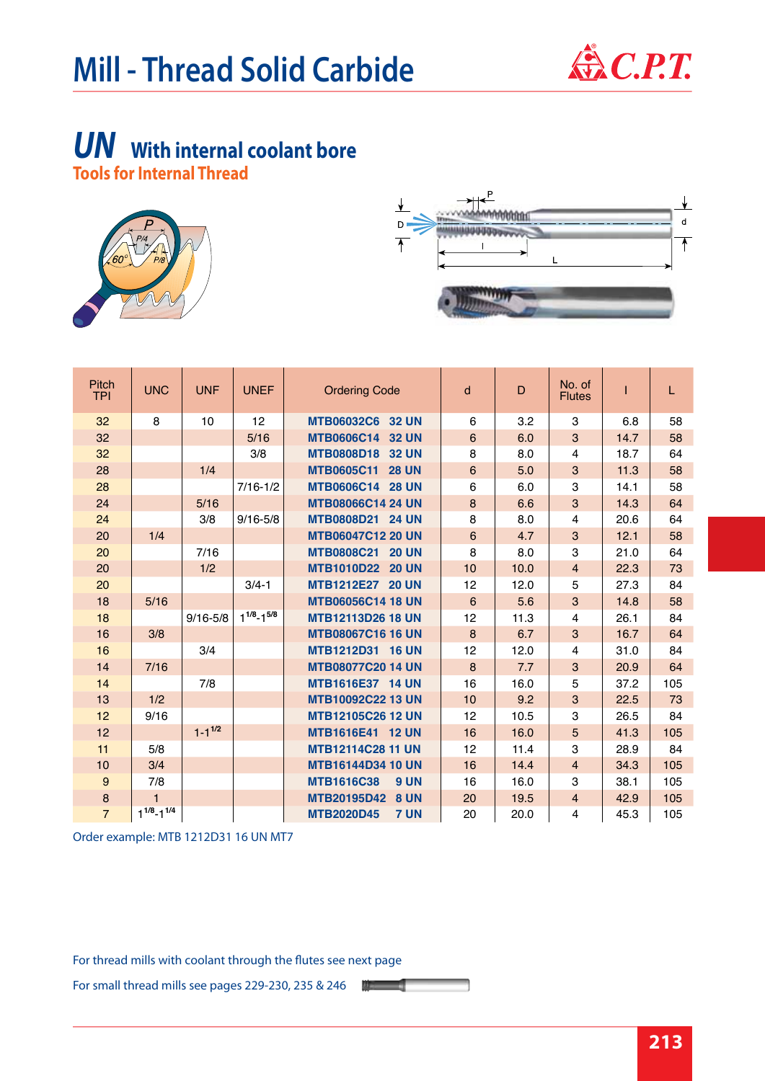

## *UN* **With internal coolant bore**

**Tools for Internal Thread**





| Pitch<br><b>TPI</b> | <b>UNC</b>          | <b>UNF</b>    | <b>UNEF</b>         | <b>Ordering Code</b>              | d                | D    | No. of<br><b>Flutes</b> |      | L   |
|---------------------|---------------------|---------------|---------------------|-----------------------------------|------------------|------|-------------------------|------|-----|
| 32                  | 8                   | 10            | 12                  | MTB06032C6 32 UN                  | 6                | 3.2  | 3                       | 6.8  | 58  |
| 32                  |                     |               | 5/16                | MTB0606C14 32 UN                  | $6\phantom{1}6$  | 6.0  | 3                       | 14.7 | 58  |
| 32                  |                     |               | 3/8                 | MTB0808D18 32 UN                  | 8                | 8.0  | $\overline{4}$          | 18.7 | 64  |
| 28                  |                     | 1/4           |                     | <b>MTB0605C11</b><br><b>28 UN</b> | $6\phantom{1}6$  | 5.0  | 3                       | 11.3 | 58  |
| 28                  |                     |               | $7/16 - 1/2$        | MTB0606C14 28 UN                  | 6                | 6.0  | 3                       | 14.1 | 58  |
| 24                  |                     | 5/16          |                     | <b>MTB08066C14 24 UN</b>          | $\bf 8$          | 6.6  | 3                       | 14.3 | 64  |
| 24                  |                     | 3/8           | $9/16 - 5/8$        | MTB0808D21 24 UN                  | 8                | 8.0  | $\overline{4}$          | 20.6 | 64  |
| 20                  | 1/4                 |               |                     | <b>MTB06047C12 20 UN</b>          | $6\phantom{1}6$  | 4.7  | 3                       | 12.1 | 58  |
| 20                  |                     | 7/16          |                     | MTB0808C21 20 UN                  | 8                | 8.0  | 3                       | 21.0 | 64  |
| 20                  |                     | 1/2           |                     | MTB1010D22 20 UN                  | 10               | 10.0 | $\overline{4}$          | 22.3 | 73  |
| 20                  |                     |               | $3/4 - 1$           | MTB1212E27 20 UN                  | 12               | 12.0 | 5                       | 27.3 | 84  |
| 18                  | 5/16                |               |                     | <b>MTB06056C14 18 UN</b>          | 6                | 5.6  | 3                       | 14.8 | 58  |
| 18                  |                     | $9/16 - 5/8$  | $1^{1/8} - 1^{5/8}$ | <b>MTB12113D26 18 UN</b>          | 12               | 11.3 | $\overline{4}$          | 26.1 | 84  |
| 16                  | 3/8                 |               |                     | <b>MTB08067C16 16 UN</b>          | $\boldsymbol{8}$ | 6.7  | 3                       | 16.7 | 64  |
| 16                  |                     | 3/4           |                     | MTB1212D31 16 UN                  | 12               | 12.0 | $\overline{4}$          | 31.0 | 84  |
| 14                  | 7/16                |               |                     | <b>MTB08077C20 14 UN</b>          | 8                | 7.7  | 3                       | 20.9 | 64  |
| 14                  |                     | 7/8           |                     | MTB1616E37 14 UN                  | 16               | 16.0 | 5                       | 37.2 | 105 |
| 13                  | 1/2                 |               |                     | <b>MTB10092C22 13 UN</b>          | 10               | 9.2  | 3                       | 22.5 | 73  |
| 12                  | 9/16                |               |                     | <b>MTB12105C26 12 UN</b>          | 12               | 10.5 | 3                       | 26.5 | 84  |
| 12                  |                     | $1 - 1^{1/2}$ |                     | MTB1616E41 12 UN                  | 16               | 16.0 | 5                       | 41.3 | 105 |
| 11                  | 5/8                 |               |                     | <b>MTB12114C28 11 UN</b>          | 12               | 11.4 | 3                       | 28.9 | 84  |
| 10                  | 3/4                 |               |                     | <b>MTB16144D34 10 UN</b>          | 16               | 14.4 | $\overline{4}$          | 34.3 | 105 |
| $\boldsymbol{9}$    | 7/8                 |               |                     | <b>MTB1616C38</b><br><b>9 UN</b>  | 16               | 16.0 | 3                       | 38.1 | 105 |
| $\bf8$              | $\mathbf{1}$        |               |                     | MTB20195D42<br><b>8 UN</b>        | 20               | 19.5 | $\overline{4}$          | 42.9 | 105 |
| $\overline{7}$      | $1^{1/8} - 1^{1/4}$ |               |                     | <b>MTB2020D45</b><br><b>7 UN</b>  | 20               | 20.0 | 4                       | 45.3 | 105 |

Order example: MTB 1212D31 16 UN MT7

For thread mills with coolant through the flutes see next page

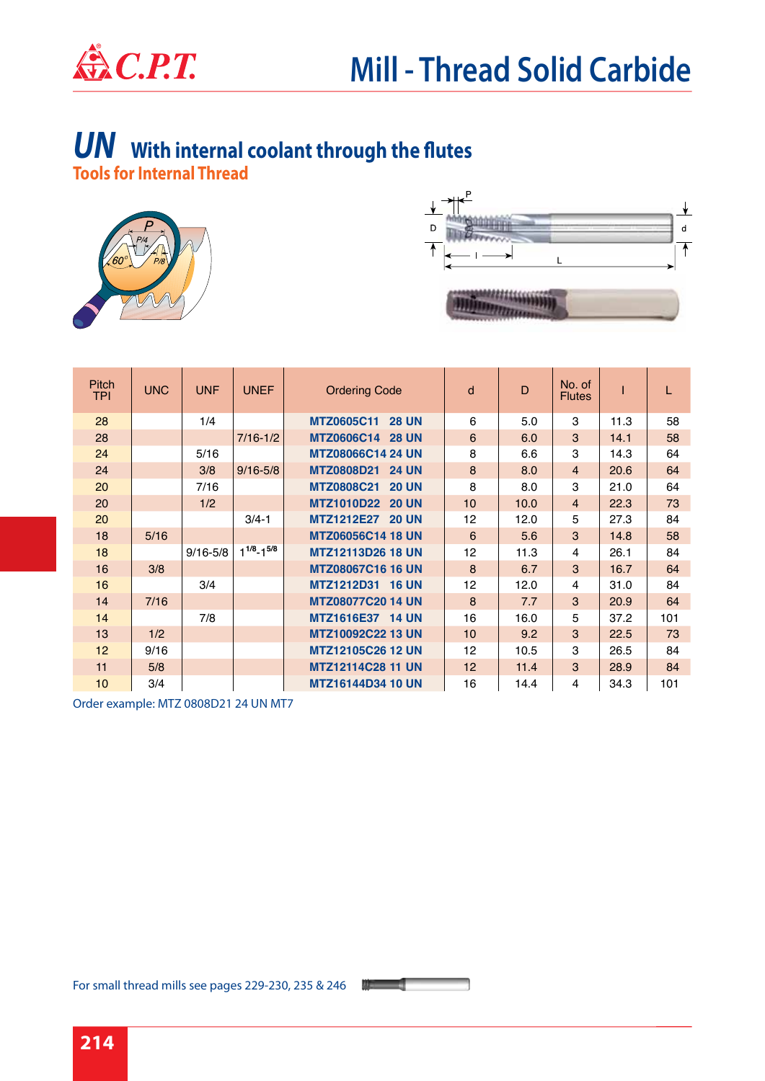

#### **Tools for Internal Thread**  *UN* **With internal coolant through the flutes**





| <b>Pitch</b><br><b>TPI</b> | <b>UNC</b> | <b>UNF</b>   | <b>UNEF</b>         | <b>Ordering Code</b>              | d  | D    | No. of<br><b>Flutes</b> |      | L   |
|----------------------------|------------|--------------|---------------------|-----------------------------------|----|------|-------------------------|------|-----|
| 28                         |            | 1/4          |                     | <b>MTZ0605C11</b><br><b>28 UN</b> | 6  | 5.0  | 3                       | 11.3 | 58  |
| 28                         |            |              | $7/16 - 1/2$        | <b>MTZ0606C14</b><br><b>28 UN</b> | 6  | 6.0  | 3                       | 14.1 | 58  |
| 24                         |            | 5/16         |                     | <b>MTZ08066C14 24 UN</b>          | 8  | 6.6  | 3                       | 14.3 | 64  |
| 24                         |            | 3/8          | $9/16 - 5/8$        | <b>MTZ0808D21</b><br><b>24 UN</b> | 8  | 8.0  | $\overline{4}$          | 20.6 | 64  |
| 20                         |            | 7/16         |                     | <b>MTZ0808C21</b><br><b>20 UN</b> | 8  | 8.0  | 3                       | 21.0 | 64  |
| 20                         |            | 1/2          |                     | MTZ1010D22 20 UN                  | 10 | 10.0 | $\overline{4}$          | 22.3 | 73  |
| 20                         |            |              | $3/4 - 1$           | MTZ1212E27 20 UN                  | 12 | 12.0 | 5                       | 27.3 | 84  |
| 18                         | 5/16       |              |                     | <b>MTZ06056C14 18 UN</b>          | 6  | 5.6  | 3                       | 14.8 | 58  |
| 18                         |            | $9/16 - 5/8$ | $1^{1/8} - 1^{5/8}$ | <b>MTZ12113D26 18 UN</b>          | 12 | 11.3 | 4                       | 26.1 | 84  |
| 16                         | 3/8        |              |                     | <b>MTZ08067C16 16 UN</b>          | 8  | 6.7  | 3                       | 16.7 | 64  |
| 16                         |            | 3/4          |                     | MTZ1212D31 16 UN                  | 12 | 12.0 | 4                       | 31.0 | 84  |
| 14                         | 7/16       |              |                     | <b>MTZ08077C20 14 UN</b>          | 8  | 7.7  | 3                       | 20.9 | 64  |
| 14                         |            | 7/8          |                     | MTZ1616E37 14 UN                  | 16 | 16.0 | 5                       | 37.2 | 101 |
| 13                         | 1/2        |              |                     | MTZ10092C22 13 UN                 | 10 | 9.2  | 3                       | 22.5 | 73  |
| 12                         | 9/16       |              |                     | <b>MTZ12105C26 12 UN</b>          | 12 | 10.5 | 3                       | 26.5 | 84  |
| 11                         | 5/8        |              |                     | <b>MTZ12114C28 11 UN</b>          | 12 | 11.4 | 3                       | 28.9 | 84  |
| 10                         | 3/4        |              |                     | <b>MTZ16144D34 10 UN</b>          | 16 | 14.4 | 4                       | 34.3 | 101 |

Order example: MTZ 0808D21 24 UN MT7

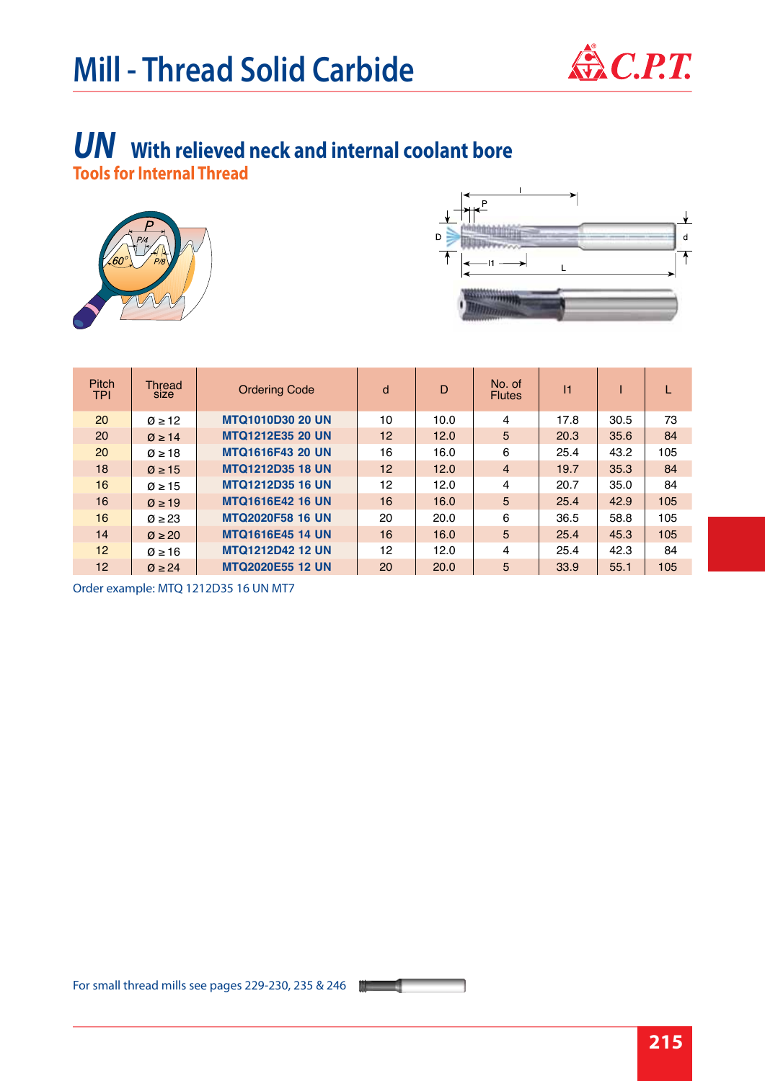# **Mill - Thread Solid Carbide**



#### **Tools for Internal Thread**  *UN* **With relieved neck and internal coolant bore**





| <b>Pitch</b><br><b>TPI</b> | <b>Thread</b><br><b>SIZE</b> | <b>Ordering Code</b>    | d  | $\mathsf{D}$ | No. of<br><b>Flutes</b> | $\vert$ 1 |      |     |
|----------------------------|------------------------------|-------------------------|----|--------------|-------------------------|-----------|------|-----|
| 20                         | $\varnothing \geq 12$        | <b>MTQ1010D30 20 UN</b> | 10 | 10.0         | 4                       | 17.8      | 30.5 | 73  |
| 20                         | $\varnothing \geq 14$        | <b>MTQ1212E35 20 UN</b> | 12 | 12.0         | 5                       | 20.3      | 35.6 | 84  |
| 20                         | $\varnothing \geq 18$        | <b>MTQ1616F43 20 UN</b> | 16 | 16.0         | 6                       | 25.4      | 43.2 | 105 |
| 18                         | $\varnothing \geq 15$        | <b>MTQ1212D35 18 UN</b> | 12 | 12.0         | $\overline{4}$          | 19.7      | 35.3 | 84  |
| 16                         | $\varnothing \geq 15$        | <b>MTQ1212D35 16 UN</b> | 12 | 12.0         | 4                       | 20.7      | 35.0 | 84  |
| 16                         | $\varnothing \geq 19$        | <b>MTQ1616E42 16 UN</b> | 16 | 16.0         | 5                       | 25.4      | 42.9 | 105 |
| 16                         | $\varnothing \geq 23$        | <b>MTQ2020F58 16 UN</b> | 20 | 20.0         | 6                       | 36.5      | 58.8 | 105 |
| 14                         | $\varnothing \geq 20$        | <b>MTQ1616E45 14 UN</b> | 16 | 16.0         | 5                       | 25.4      | 45.3 | 105 |
| 12                         | $\varnothing \geq 16$        | <b>MTQ1212D42 12 UN</b> | 12 | 12.0         | 4                       | 25.4      | 42.3 | 84  |
| 12                         | $\varnothing \geq 24$        | <b>MTQ2020E55 12 UN</b> | 20 | 20.0         | 5                       | 33.9      | 55.1 | 105 |

Order example: MTQ 1212D35 16 UN MT7

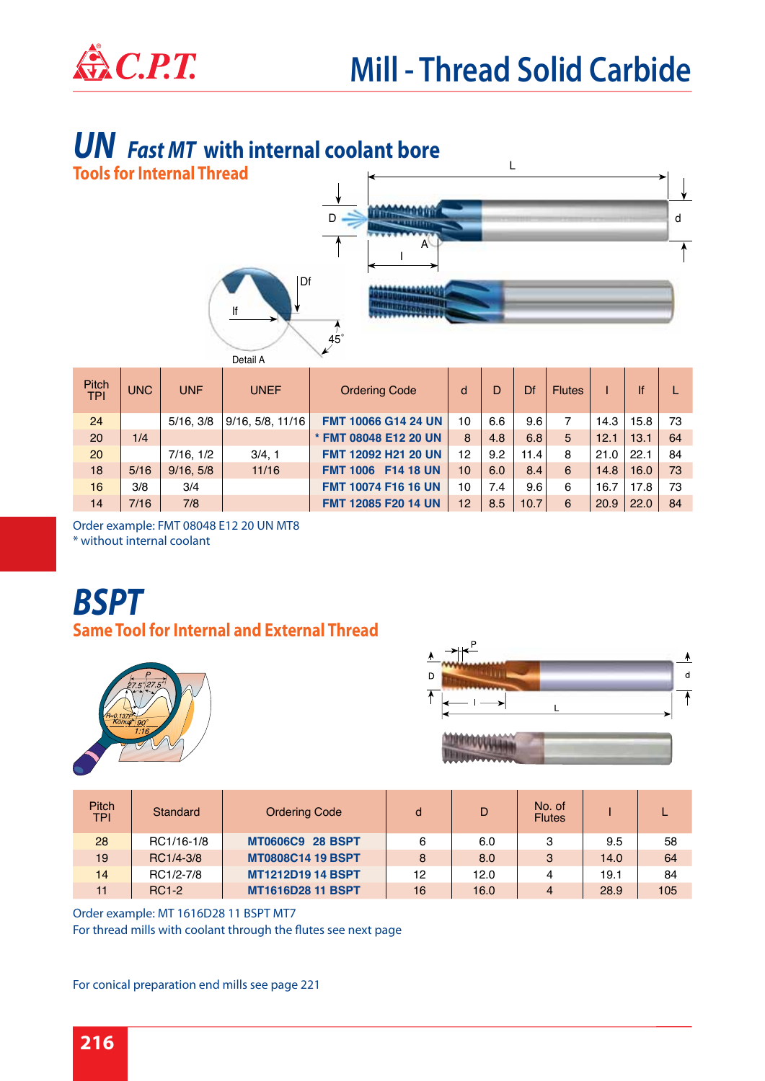## *UN Fast MT* **with internal coolant bore**



| Pitch<br><b>TPI</b> | <b>UNC</b> | <b>UNF</b> | <b>UNEF</b>      | <b>Ordering Code</b>                | d               | D   | Df   | <b>Flutes</b> |      | lf   |     |
|---------------------|------------|------------|------------------|-------------------------------------|-----------------|-----|------|---------------|------|------|-----|
| 24                  |            | 5/16.3/8   | 9/16, 5/8, 11/16 | <b>FMT 10066 G14 24 UN</b>          | 10              | 6.6 | 9.6  | 7             | 14.3 | 15.8 | 73  |
| 20                  | 1/4        |            |                  | * FMT 08048 E12 20 UN               | 8               | 4.8 | 6.8  | 5             | 12.1 | 13.1 | 64  |
| 20                  |            | 7/16, 1/2  | 3/4, 1           | FMT 12092 H21 20 UN                 | 12              | 9.2 | 11.4 | 8             | 21.0 | 22.1 | -84 |
| 18                  | 5/16       | 9/16.5/8   | 11/16            | <b>F14 18 UN</b><br><b>FMT 1006</b> | 10 <sup>1</sup> | 6.0 | 8.4  | 6             | 14.8 | 16.0 | 73  |
| 16                  | 3/8        | 3/4        |                  | <b>FMT 10074 F16 16 UN</b>          | 10              | 7.4 | 9.6  | 6             | 16.7 | 17.8 | 73  |
| 14                  | 7/16       | 7/8        |                  | <b>FMT 12085 F20 14 UN</b>          | 12 <sup>1</sup> | 8.5 | 10.7 | 6             | 20.9 | 22.0 | 84  |

Order example: FMT 08048 E12 20 UN MT8 \* without internal coolant

# *BSPT*

#### **Same Tool for Internal and External Thread**





| <b>Pitch</b><br><b>TPI</b> | Standard     | <b>Ordering Code</b>     | d  | D    | No. of<br><b>Flutes</b> |      |     |
|----------------------------|--------------|--------------------------|----|------|-------------------------|------|-----|
| 28                         | RC1/16-1/8   | <b>MT0606C9 28 BSPT</b>  | 6  | 6.0  | 3                       | 9.5  | 58  |
| 19                         | RC1/4-3/8    | <b>MT0808C14 19 BSPT</b> | 8  | 8.0  | 3                       | 14.0 | 64  |
| 14                         | RC1/2-7/8    | <b>MT1212D19 14 BSPT</b> | 12 | 12.0 | 4                       | 19.1 | 84  |
| 11                         | <b>RC1-2</b> | <b>MT1616D28 11 BSPT</b> | 16 | 16.0 | 4                       | 28.9 | 105 |

Order example: MT 1616D28 11 BSPT MT7 For thread mills with coolant through the flutes see next page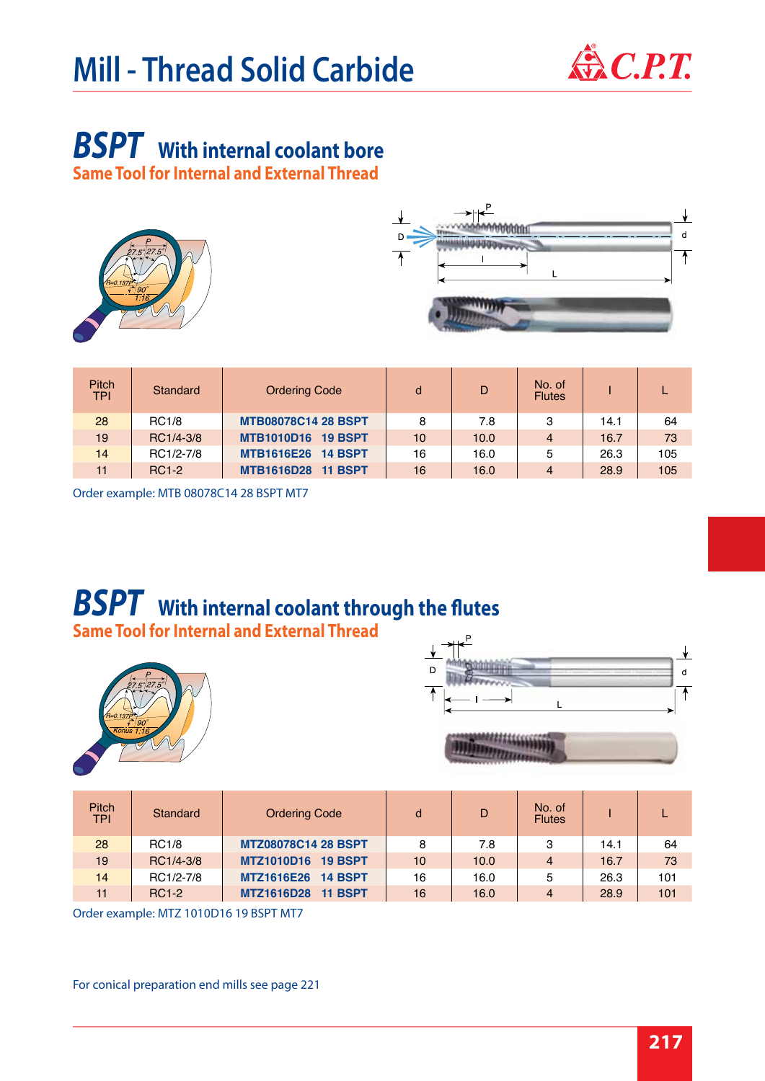# **Mill - Thread Solid Carbide**  $\mathbf{\mathbb{R}}$  C.P.T.



# *BSPT* **With internal coolant bore**

**Same Tool for Internal and External Thread**





| <b>Pitch</b><br><b>TPI</b> | <b>Standard</b> | <b>Ordering Code</b>       | d  | D    | No. of<br><b>Flutes</b> |      |     |
|----------------------------|-----------------|----------------------------|----|------|-------------------------|------|-----|
| 28                         | <b>RC1/8</b>    | <b>MTB08078C14 28 BSPT</b> | 8  | 7.8  | 3                       | 14.1 | 64  |
| 19                         | RC1/4-3/8       | <b>MTB1010D16 19 BSPT</b>  | 10 | 10.0 | $\overline{4}$          | 16.7 | 73  |
| 14                         | RC1/2-7/8       | MTB1616E26 14 BSPT         | 16 | 16.0 | 5                       | 26.3 | 105 |
| 11                         | <b>RC1-2</b>    | MTB1616D28 11 BSPT         | 16 | 16.0 | $\overline{4}$          | 28.9 | 105 |

Order example: MTB 08078C14 28 BSPT MT7

#### **Same Tool for Internal and External Thread**  *BSPT* **With internal coolant through the flutes**





|  | <b><i><u> 4444555566</u></i></b> |  |
|--|----------------------------------|--|
|  |                                  |  |
|  |                                  |  |
|  |                                  |  |
|  |                                  |  |

崩

| <b>Pitch</b><br><b>TPI</b> | Standard     | <b>Ordering Code</b>                | d  | D    | No. of<br><b>Flutes</b> |      |     |
|----------------------------|--------------|-------------------------------------|----|------|-------------------------|------|-----|
| 28                         | <b>RC1/8</b> | <b>MTZ08078C14 28 BSPT</b>          | 8  | 7.8  | 3                       | 14.1 | 64  |
| 19                         | RC1/4-3/8    | <b>MTZ1010D16</b><br><b>19 BSPT</b> | 10 | 10.0 | $\overline{4}$          | 16.7 | 73  |
| 14                         | RC1/2-7/8    | <b>MTZ1616E26</b><br><b>14 BSPT</b> | 16 | 16.0 | 5                       | 26.3 | 101 |
| 11                         | <b>RC1-2</b> | <b>MTZ1616D28</b><br><b>11 BSPT</b> | 16 | 16.0 | 4                       | 28.9 | 101 |

Order example: MTZ 1010D16 19 BSPT MT7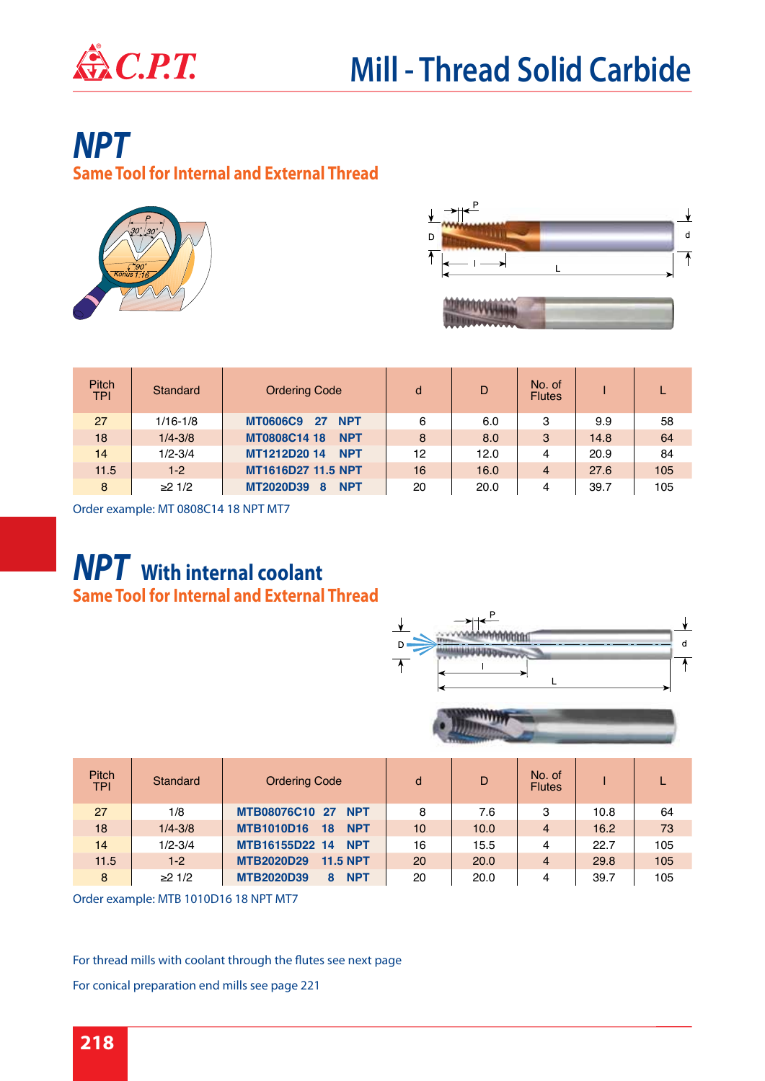

## *NPT*

**Same Tool for Internal and External Thread**





| <b>Pitch</b><br><b>TPI</b> | Standard         | <b>Ordering Code</b>                  | d  | D    | No. of<br><b>Flutes</b> |      |     |
|----------------------------|------------------|---------------------------------------|----|------|-------------------------|------|-----|
| 27                         | $1/16 - 1/8$     | <b>MT0606C9</b><br><b>NPT</b><br>- 27 | 6  | 6.0  | 3                       | 9.9  | 58  |
| 18                         | $1/4 - 3/8$      | MT0808C14 18<br><b>NPT</b>            | 8  | 8.0  | 3                       | 14.8 | 64  |
| 14                         | $1/2 - 3/4$      | MT1212D20 14<br><b>NPT</b>            | 12 | 12.0 | 4                       | 20.9 | 84  |
| 11.5                       | $1-2$            | MT1616D27 11.5 NPT                    | 16 | 16.0 | $\overline{4}$          | 27.6 | 105 |
| 8                          | $≥2 \frac{1}{2}$ | MT2020D39<br><b>NPT</b><br>8          | 20 | 20.0 | 4                       | 39.7 | 105 |

Order example: MT 0808C14 18 NPT MT7

### **Same Tool for Internal and External Thread** *NPT* **With internal coolant**





| <b>Pitch</b><br><b>TPI</b> | Standard    | <b>Ordering Code</b>                  | d               | D    | No. of<br><b>Flutes</b> |      |     |
|----------------------------|-------------|---------------------------------------|-----------------|------|-------------------------|------|-----|
| 27                         | 1/8         | MTB08076C10 27 NPT                    | 8               | 7.6  | 3                       | 10.8 | 64  |
| 18                         | $1/4 - 3/8$ | <b>MTB1010D16</b><br>18<br><b>NPT</b> | 10 <sup>°</sup> | 10.0 | 4                       | 16.2 | 73  |
| 14                         | $1/2 - 3/4$ | MTB16155D22 14 NPT                    | 16              | 15.5 | 4                       | 22.7 | 105 |
| 11.5                       | $1-2$       | <b>MTB2020D29</b><br><b>11.5 NPT</b>  | 20              | 20.0 | 4                       | 29.8 | 105 |
| 8                          | ≥21/2       | <b>MTB2020D39</b><br><b>NPT</b><br>8  | 20              | 20.0 | 4                       | 39.7 | 105 |

Order example: MTB 1010D16 18 NPT MT7

For thread mills with coolant through the flutes see next page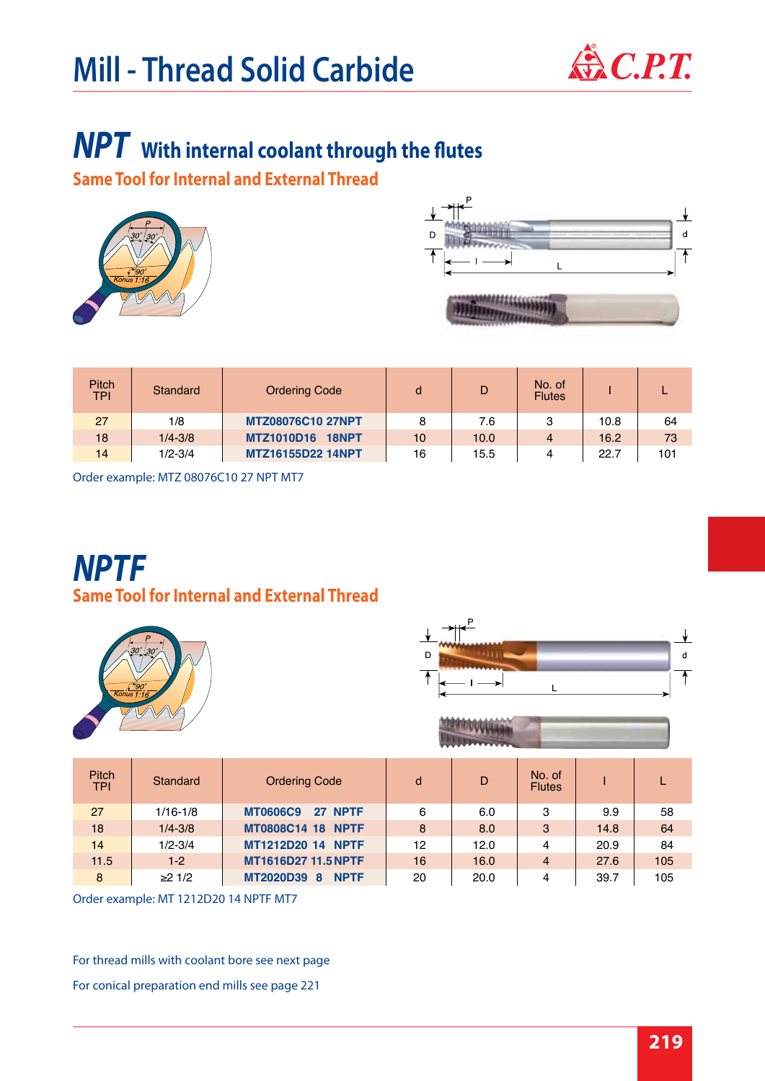# **Mill - Thread Solid Carbide**  $\mathbf{\mathbb{R}}$  C.P.T.



## *NPT* **With internal coolant through the flutes**

**Same Tool for Internal and External Thread**





| <b>Pitch</b><br><b>TPI</b> | Standard    | <b>Ordering Code</b>     | d  | D    | No. of<br><b>Flutes</b> |      |     |
|----------------------------|-------------|--------------------------|----|------|-------------------------|------|-----|
| 27                         | 1/8         | <b>MTZ08076C10 27NPT</b> | 8  | 7.6  | 3                       | 10.8 | 64  |
| 18                         | $1/4 - 3/8$ | MTZ1010D16 18NPT         | 10 | 10.0 | 4                       | 16.2 | 73  |
| 14                         | $1/2 - 3/4$ | <b>MTZ16155D22 14NPT</b> | 16 | 15.5 | 4                       | 22.7 | 101 |

Order example: MTZ 08076C10 27 NPT MT7

### **Same Tool for Internal and External Thread** *NPTF*





| <b>ANALYM ANALYSIS</b> |  |
|------------------------|--|

| <b>Pitch</b><br><b>TPI</b> | Standard     | <b>Ordering Code</b>       | d  | D    | No. of<br><b>Flutes</b> |      |     |
|----------------------------|--------------|----------------------------|----|------|-------------------------|------|-----|
| 27                         | $1/16 - 1/8$ | <b>MT0606C9</b><br>27 NPTF | 6  | 6.0  | 3                       | 9.9  | 58  |
| 18                         | $1/4 - 3/8$  | <b>MT0808C14 18 NPTF</b>   | 8  | 8.0  | 3                       | 14.8 | 64  |
| 14                         | $1/2 - 3/4$  | <b>MT1212D20 14 NPTF</b>   | 12 | 12.0 | 4                       | 20.9 | 84  |
| 11.5                       | $1-2$        | <b>MT1616D27 11.5 NPTF</b> | 16 | 16.0 | 4                       | 27.6 | 105 |
| 8                          | ≥21/2        | <b>MT2020D39 8 NPTF</b>    | 20 | 20.0 | 4                       | 39.7 | 105 |

Order example: MT 1212D20 14 NPTF MT7

For thread mills with coolant bore see next page For conical preparation end mills see page 221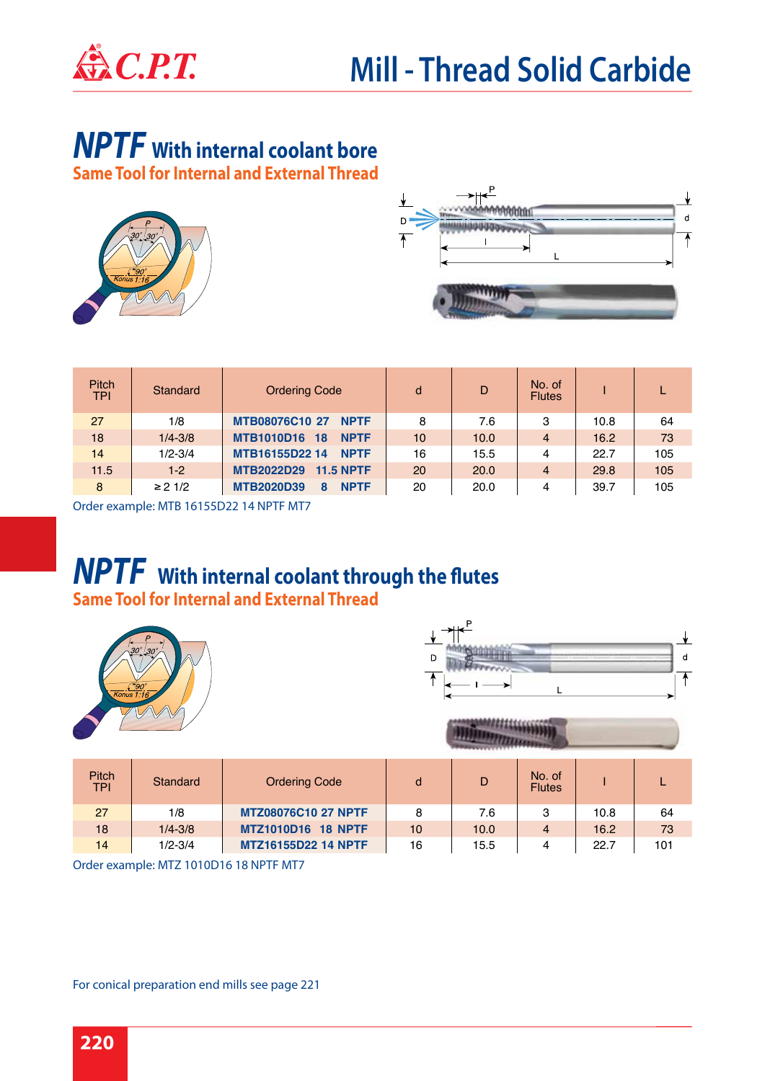

## *NPTF* **With internal coolant bore**

**Same Tool for Internal and External Thread**





| <b>Pitch</b><br><b>TPI</b> | Standard     | <b>Ordering Code</b>                   | d         | D    | No. of<br><b>Flutes</b> |      |     |
|----------------------------|--------------|----------------------------------------|-----------|------|-------------------------|------|-----|
| 27                         | 1/8          | MTB08076C10 27<br><b>NPTF</b>          | 8         | 7.6  | 3                       | 10.8 | 64  |
| 18                         | $1/4 - 3/8$  | <b>MTB1010D16</b><br><b>NPTF</b><br>18 | 10        | 10.0 | $\overline{4}$          | 16.2 | 73  |
| 14                         | $1/2 - 3/4$  | MTB16155D22 14<br><b>NPTF</b>          | 16        | 15.5 | 4                       | 22.7 | 105 |
| 11.5                       | $1 - 2$      | <b>MTB2022D29</b><br>$11.5$ NPTF       | <b>20</b> | 20.0 | $\overline{4}$          | 29.8 | 105 |
| 8                          | $\geq$ 2 1/2 | <b>MTB2020D39</b><br><b>NPTF</b><br>8  | 20        | 20.0 | 4                       | 39.7 | 105 |

Order example: MTB 16155D22 14 NPTF MT7

### **Same Tool for Internal and External Thread** *NPTF* **With internal coolant through the flutes**





| <b>Pitch</b><br><b>TPI</b> | Standard    | <b>Ordering Code</b>       |    | D    | No. of<br><b>Flutes</b> |      |     |
|----------------------------|-------------|----------------------------|----|------|-------------------------|------|-----|
| 27                         | 1/8         | <b>MTZ08076C10 27 NPTF</b> | 8  | 7.6  | 3                       | 10.8 | 64  |
| 18                         | $1/4 - 3/8$ | <b>MTZ1010D16 18 NPTF</b>  | 10 | 10.0 | 4                       | 16.2 | 73  |
| 14                         | $1/2 - 3/4$ | <b>MTZ16155D22 14 NPTF</b> | 16 | 15.5 | 4                       | 22.7 | 101 |

Order example: MTZ 1010D16 18 NPTF MT7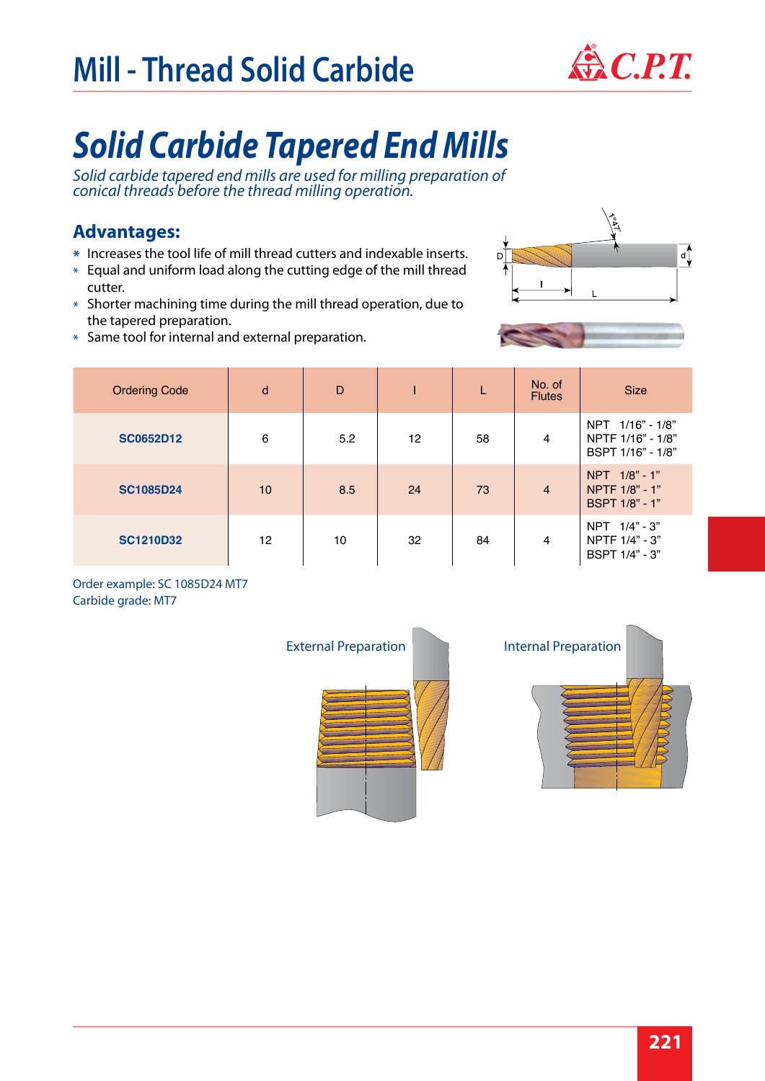# **Mill - Thread Solid Carbide**



# *Solid Carbide Tapered End Mills*

*Solid carbide tapered end mills are used for milling preparation of conical threads before the thread milling operation.*

#### **Advantages:**

- Increases the tool life of mill thread cutters and indexable inserts. **\***
- $\ast$  Equal and uniform load along the cutting edge of the mill thread cutter.
- $*$  Shorter machining time during the mill thread operation, due to the tapered preparation.
- Same tool for internal and external preparation. \*





Order example: SC 1085D24 MT7 Carbide grade: MT7



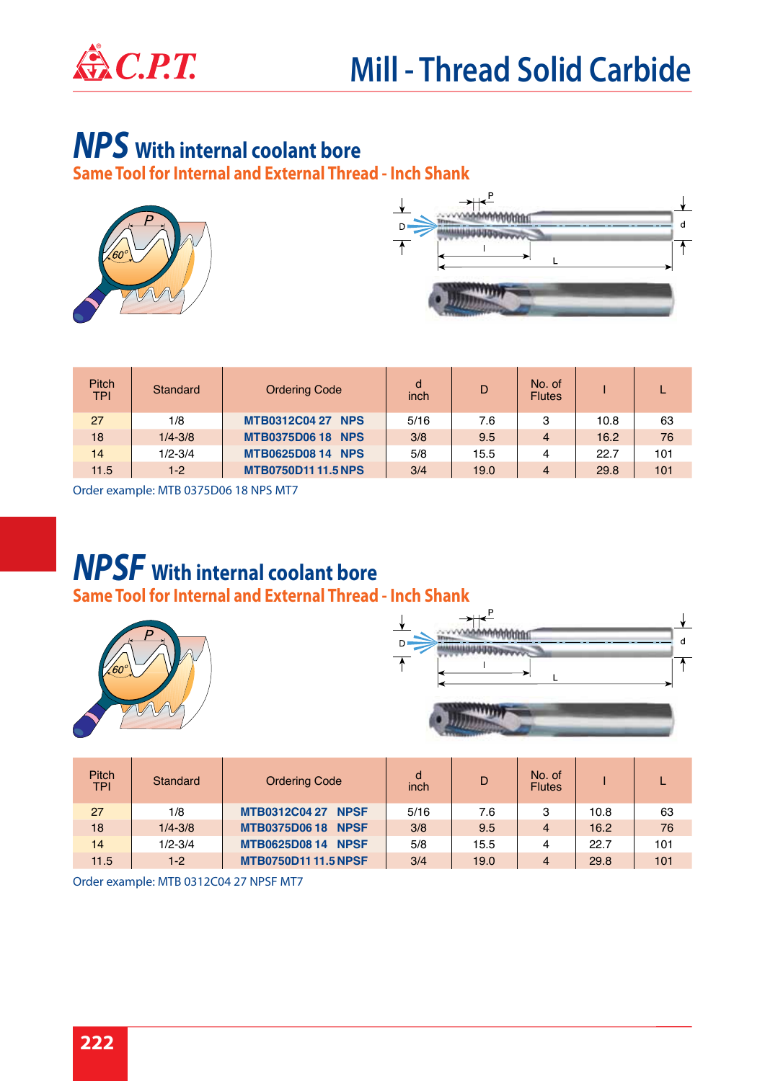

## *NPS* **With internal coolant bore**

**Same Tool for Internal and External Thread - Inch Shank**





| <b>Pitch</b><br><b>TPI</b> | Standard    | <b>Ordering Code</b>      | d<br>inch | D    | No. of<br><b>Flutes</b> |      |     |
|----------------------------|-------------|---------------------------|-----------|------|-------------------------|------|-----|
| 27                         | 1/8         | <b>MTB0312C04 27 NPS</b>  | 5/16      | 7.6  | 3                       | 10.8 | 63  |
| 18                         | $1/4 - 3/8$ | <b>MTB0375D06 18 NPS</b>  | 3/8       | 9.5  | 4                       | 16.2 | 76  |
| 14                         | $1/2 - 3/4$ | <b>MTB0625D08 14 NPS</b>  | 5/8       | 15.5 | 4                       | 22.7 | 101 |
| 11.5                       | $1-2$       | <b>MTB0750D1111.5 NPS</b> | 3/4       | 19.0 | 4                       | 29.8 | 101 |

Order example: MTB 0375D06 18 NPS MT7

### **Same Tool for Internal and External Thread - Inch Shank** *NPSF* **With internal coolant bore**



| <b>Pitch</b><br><b>TPI</b> | Standard    | <b>Ordering Code</b>       | d<br>inch | D    | No. of<br><b>Flutes</b> |      |     |
|----------------------------|-------------|----------------------------|-----------|------|-------------------------|------|-----|
| 27                         | 1/8         | <b>MTB0312C04 27 NPSF</b>  | 5/16      | 7.6  | 3                       | 10.8 | 63  |
| 18                         | $1/4 - 3/8$ | <b>MTB0375D0618 NPSF</b>   | 3/8       | 9.5  | 4                       | 16.2 | 76  |
| 14                         | $1/2 - 3/4$ | <b>MTB0625D0814 NPSF</b>   | 5/8       | 15.5 | 4                       | 22.7 | 101 |
| 11.5                       | $1-2$       | <b>MTB0750D1111.5 NPSF</b> | 3/4       | 19.0 | 4                       | 29.8 | 101 |

Order example: MTB 0312C04 27 NPSF MT7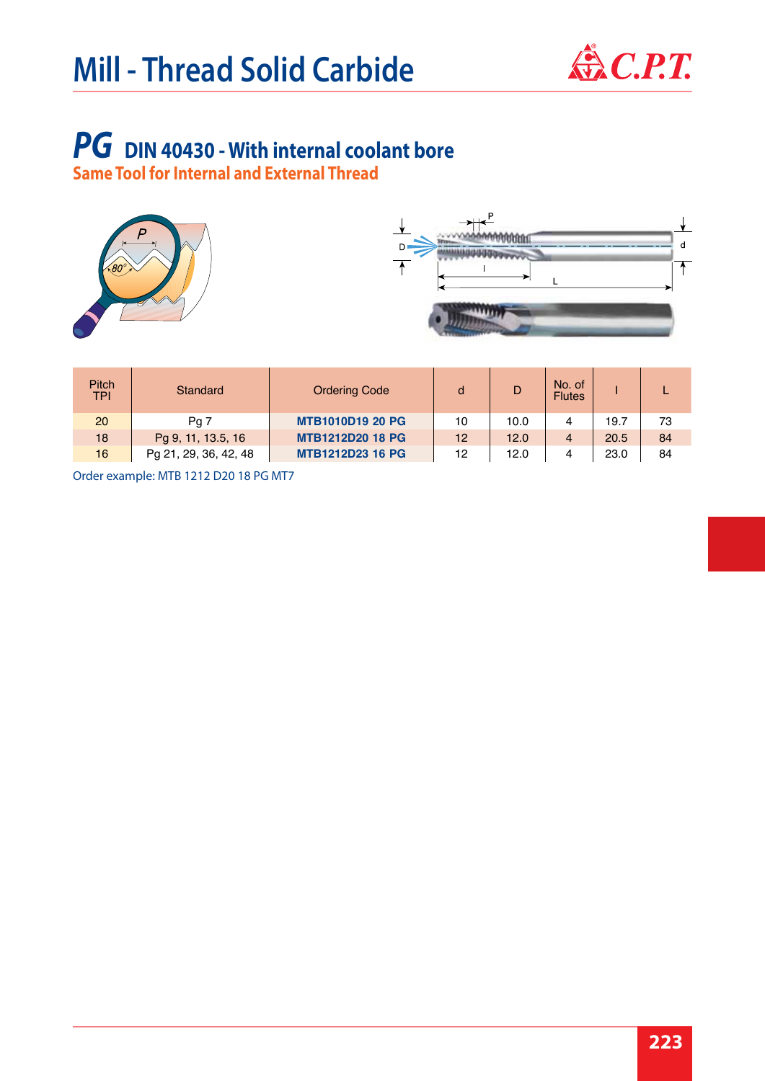

 $\mathsf{d}$ 

 $\overline{\Uparrow}$ 

# *PG* **DIN 40430 - With internal coolant bore**

**Same Tool for Internal and External Thread** 



| <b>Pitch</b><br><b>TPI</b> | Standard              | <b>Ordering Code</b>    |    | D    | No. of<br><b>Flutes</b> |      |    |
|----------------------------|-----------------------|-------------------------|----|------|-------------------------|------|----|
| 20                         | Pa <sub>7</sub>       | <b>MTB1010D19 20 PG</b> | 10 | 10.0 | 4                       | 19.7 | 73 |
| 18                         | Pg 9, 11, 13.5, 16    | <b>MTB1212D20 18 PG</b> | 12 | 12.0 | $\overline{4}$          | 20.5 | 84 |
| 16                         | Pg 21, 29, 36, 42, 48 | <b>MTB1212D23 16 PG</b> | 12 | 12.0 | 4                       | 23.0 | 84 |

Order example: MTB 1212 D20 18 PG MT7